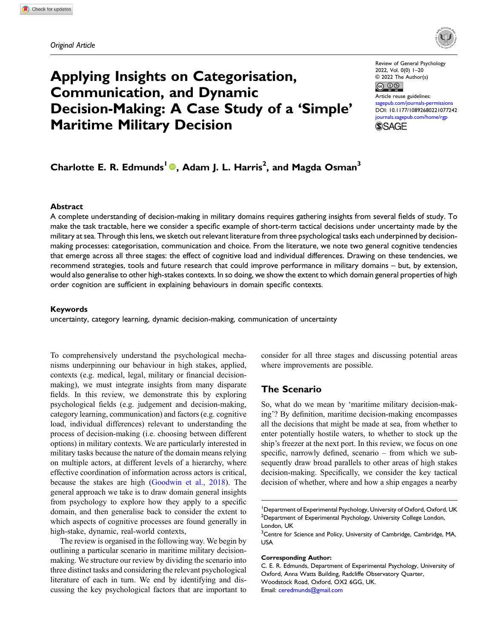

# Applying Insights on Categorisation, Communication, and Dynamic Decision-Making: A Case Study of a 'Simple' Maritime Military Decision

Review of General Psychology 2022, Vol. 0(0) 1–20 © 2022 The Author(s)



Article reuse guidelines: [sagepub.com/journals-permissions](https://us.sagepub.com/en-us/journals-permissions) DOI: [10.1177/10892680221077242](https://doi.org/10.1177/10892680221077242) [journals.sagepub.com/home/rgp](https://journals.sagepub.com/home/rgp) **SSAGE** 

## Charlotte E. R. Edmunds<sup>1</sup> <sup>®</sup>, Adam J. L. Harris<sup>2</sup>, and Magda Osman<sup>3</sup>

#### **Abstract**

A complete understanding of decision-making in military domains requires gathering insights from several fields of study. To make the task tractable, here we consider a specific example of short-term tactical decisions under uncertainty made by the military at sea. Through this lens, we sketch out relevant literature from three psychological tasks each underpinned by decisionmaking processes: categorisation, communication and choice. From the literature, we note two general cognitive tendencies that emerge across all three stages: the effect of cognitive load and individual differences. Drawing on these tendencies, we recommend strategies, tools and future research that could improve performance in military domains – but, by extension, would also generalise to other high-stakes contexts. In so doing, we show the extent to which domain general properties of high order cognition are sufficient in explaining behaviours in domain specific contexts.

#### Keywords

uncertainty, category learning, dynamic decision-making, communication of uncertainty

To comprehensively understand the psychological mechanisms underpinning our behaviour in high stakes, applied, contexts (e.g. medical, legal, military or financial decisionmaking), we must integrate insights from many disparate fields. In this review, we demonstrate this by exploring psychological fields (e.g. judgement and decision-making, category learning, communication) and factors (e.g. cognitive load, individual differences) relevant to understanding the process of decision-making (i.e. choosing between different options) in military contexts. We are particularly interested in military tasks because the nature of the domain means relying on multiple actors, at different levels of a hierarchy, where effective coordination of information across actors is critical, because the stakes are high ([Goodwin et al., 2018](#page-14-0)). The general approach we take is to draw domain general insights from psychology to explore how they apply to a specific domain, and then generalise back to consider the extent to which aspects of cognitive processes are found generally in high-stake, dynamic, real-world contexts,

The review is organised in the following way. We begin by outlining a particular scenario in maritime military decisionmaking. We structure our review by dividing the scenario into three distinct tasks and considering the relevant psychological literature of each in turn. We end by identifying and discussing the key psychological factors that are important to consider for all three stages and discussing potential areas where improvements are possible.

#### The Scenario

So, what do we mean by 'maritime military decision-making'? By definition, maritime decision-making encompasses all the decisions that might be made at sea, from whether to enter potentially hostile waters, to whether to stock up the ship's freezer at the next port. In this review, we focus on one specific, narrowly defined, scenario – from which we subsequently draw broad parallels to other areas of high stakes decision-making. Specifically, we consider the key tactical decision of whether, where and how a ship engages a nearby

#### Corresponding Author:

<sup>&</sup>lt;sup>1</sup>Department of Experimental Psychology, University of Oxford, Oxford, UK  $^{2}$ Department of Experimental Psychology, University College London, London, UK

 $^3$ Centre for Science and Policy, University of Cambridge, Cambridge, MA, USA

C. E. R. Edmunds, Department of Experimental Psychology, University of Oxford, Anna Watts Building, Radcliffe Observatory Quarter, Woodstock Road, Oxford, OX2 6GG, UK. Email: [ceredmunds@gmail.com](mailto:ceredmunds@gmail.com)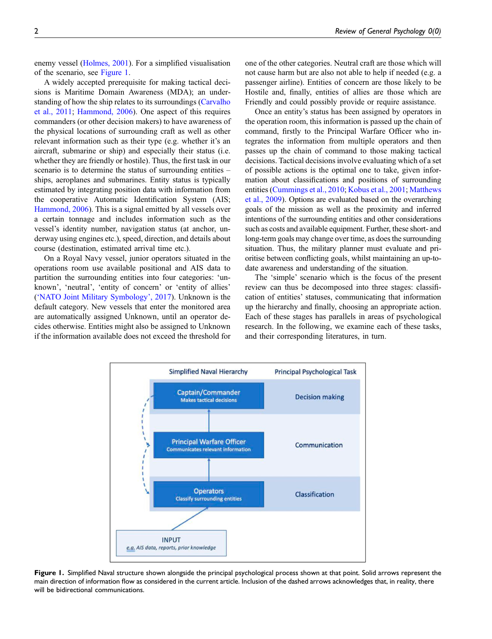enemy vessel ([Holmes, 2001\)](#page-14-1). For a simplified visualisation of the scenario, see [Figure 1.](#page-1-0)

A widely accepted prerequisite for making tactical decisions is Maritime Domain Awareness (MDA); an understanding of how the ship relates to its surroundings [\(Carvalho](#page-13-0) [et al., 2011](#page-13-0); [Hammond, 2006\)](#page-14-2). One aspect of this requires commanders (or other decision makers) to have awareness of the physical locations of surrounding craft as well as other relevant information such as their type (e.g. whether it's an aircraft, submarine or ship) and especially their status (i.e. whether they are friendly or hostile). Thus, the first task in our scenario is to determine the status of surrounding entities – ships, aeroplanes and submarines. Entity status is typically estimated by integrating position data with information from the cooperative Automatic Identification System (AIS; [Hammond, 2006\)](#page-14-2). This is a signal emitted by all vessels over a certain tonnage and includes information such as the vessel's identity number, navigation status (at anchor, underway using engines etc.), speed, direction, and details about course (destination, estimated arrival time etc.).

On a Royal Navy vessel, junior operators situated in the operations room use available positional and AIS data to partition the surrounding entities into four categories: 'unknown', 'neutral', 'entity of concern' or 'entity of allies' ('[NATO Joint Military Symbology](#page-16-0)', 2017). Unknown is the default category. New vessels that enter the monitored area are automatically assigned Unknown, until an operator decides otherwise. Entities might also be assigned to Unknown if the information available does not exceed the threshold for one of the other categories. Neutral craft are those which will not cause harm but are also not able to help if needed (e.g. a passenger airline). Entities of concern are those likely to be Hostile and, finally, entities of allies are those which are Friendly and could possibly provide or require assistance.

Once an entity's status has been assigned by operators in the operation room, this information is passed up the chain of command, firstly to the Principal Warfare Officer who integrates the information from multiple operators and then passes up the chain of command to those making tactical decisions. Tactical decisions involve evaluating which of a set of possible actions is the optimal one to take, given information about classifications and positions of surrounding entities [\(Cummings et al., 2010](#page-13-1); [Kobus et al., 2001;](#page-15-0) [Matthews](#page-16-1) [et al., 2009\)](#page-16-1). Options are evaluated based on the overarching goals of the mission as well as the proximity and inferred intentions of the surrounding entities and other considerations such as costs and available equipment. Further, these short- and long-term goals may change over time, as does the surrounding situation. Thus, the military planner must evaluate and prioritise between conflicting goals, whilst maintaining an up-todate awareness and understanding of the situation.

The 'simple' scenario which is the focus of the present review can thus be decomposed into three stages: classification of entities' statuses, communicating that information up the hierarchy and finally, choosing an appropriate action. Each of these stages has parallels in areas of psychological research. In the following, we examine each of these tasks, and their corresponding literatures, in turn.



<span id="page-1-0"></span>Figure 1. Simplified Naval structure shown alongside the principal psychological process shown at that point. Solid arrows represent the main direction of information flow as considered in the current article. Inclusion of the dashed arrows acknowledges that, in reality, there will be bidirectional communications.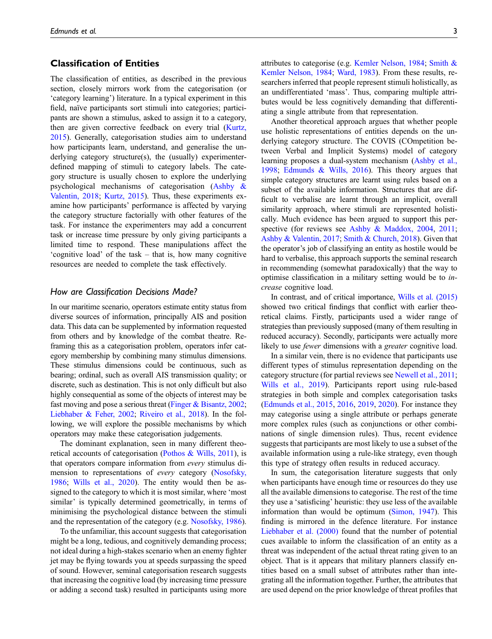#### Classification of Entities

The classification of entities, as described in the previous section, closely mirrors work from the categorisation (or 'category learning') literature. In a typical experiment in this field, naïve participants sort stimuli into categories; participants are shown a stimulus, asked to assign it to a category, then are given corrective feedback on every trial [\(Kurtz,](#page-15-1) [2015\)](#page-15-1). Generally, categorisation studies aim to understand how participants learn, understand, and generalise the underlying category structure(s), the (usually) experimenterdefined mapping of stimuli to category labels. The category structure is usually chosen to explore the underlying psychological mechanisms of categorisation [\(Ashby &](#page-12-0) [Valentin, 2018](#page-12-0); [Kurtz, 2015\)](#page-15-1). Thus, these experiments examine how participants' performance is affected by varying the category structure factorially with other features of the task. For instance the experimenters may add a concurrent task or increase time pressure by only giving participants a limited time to respond. These manipulations affect the 'cognitive load' of the task – that is, how many cognitive resources are needed to complete the task effectively.

#### How are Classification Decisions Made?

In our maritime scenario, operators estimate entity status from diverse sources of information, principally AIS and position data. This data can be supplemented by information requested from others and by knowledge of the combat theatre. Reframing this as a categorisation problem, operators infer category membership by combining many stimulus dimensions. These stimulus dimensions could be continuous, such as bearing; ordinal, such as overall AIS transmission quality; or discrete, such as destination. This is not only difficult but also highly consequential as some of the objects of interest may be fast moving and pose a serious threat [\(Finger & Bisantz, 2002;](#page-14-3) [Liebhaber & Feher, 2002;](#page-15-2) [Riveiro et al., 2018\)](#page-17-0). In the following, we will explore the possible mechanisms by which operators may make these categorisation judgements.

The dominant explanation, seen in many different theoretical accounts of categorisation (Pothos  $\&$  Wills, 2011), is that operators compare information from every stimulus dimension to representations of every category [\(Nosofsky,](#page-16-2) [1986;](#page-16-2) [Wills et al., 2020](#page-18-0)). The entity would then be assigned to the category to which it is most similar, where 'most similar' is typically determined geometrically, in terms of minimising the psychological distance between the stimuli and the representation of the category (e.g. [Nosofsky, 1986\)](#page-16-2).

To the unfamiliar, this account suggests that categorisation might be a long, tedious, and cognitively demanding process; not ideal during a high-stakes scenario when an enemy fighter jet may be flying towards you at speeds surpassing the speed of sound. However, seminal categorisation research suggests that increasing the cognitive load (by increasing time pressure or adding a second task) resulted in participants using more attributes to categorise (e.g. [Kemler Nelson, 1984;](#page-15-3) [Smith &](#page-17-2) [Kemler Nelson, 1984](#page-17-2); [Ward, 1983\)](#page-18-1). From these results, researchers inferred that people represent stimuli holistically, as an undifferentiated 'mass'. Thus, comparing multiple attributes would be less cognitively demanding that differentiating a single attribute from that representation.

Another theoretical approach argues that whether people use holistic representations of entities depends on the underlying category structure. The COVIS (COmpetition between Verbal and Implicit Systems) model of category learning proposes a dual-system mechanism ([Ashby et al.,](#page-12-1) [1998](#page-12-1); [Edmunds & Wills, 2016\)](#page-14-4). This theory argues that simple category structures are learnt using rules based on a subset of the available information. Structures that are difficult to verbalise are learnt through an implicit, overall similarity approach, where stimuli are represented holistically. Much evidence has been argued to support this per-spective (for reviews see [Ashby & Maddox, 2004](#page-12-2), [2011](#page-12-3); [Ashby & Valentin, 2017](#page-12-4); [Smith & Church, 2018](#page-17-3)). Given that the operator's job of classifying an entity as hostile would be hard to verbalise, this approach supports the seminal research in recommending (somewhat paradoxically) that the way to optimise classification in a military setting would be to increase cognitive load.

In contrast, and of critical importance, [Wills et al. \(2015\)](#page-18-2) showed two critical findings that conflict with earlier theoretical claims. Firstly, participants used a wider range of strategies than previously supposed (many of them resulting in reduced accuracy). Secondly, participants were actually more likely to use *fewer* dimensions with a *greater* cognitive load.

In a similar vein, there is no evidence that participants use different types of stimulus representation depending on the category structure (for partial reviews see [Newell et al., 2011](#page-16-3); [Wills et al., 2019](#page-18-3)). Participants report using rule-based strategies in both simple and complex categorisation tasks ([Edmunds et al., 2015](#page-13-2), [2016,](#page-14-5) [2019,](#page-14-6) [2020\)](#page-13-3). For instance they may categorise using a single attribute or perhaps generate more complex rules (such as conjunctions or other combinations of single dimension rules). Thus, recent evidence suggests that participants are most likely to use a subset of the available information using a rule-like strategy, even though this type of strategy often results in reduced accuracy.

In sum, the categorisation literature suggests that only when participants have enough time or resources do they use all the available dimensions to categorise. The rest of the time they use a 'satisficing' heuristic: they use less of the available information than would be optimum [\(Simon, 1947](#page-17-4)). This finding is mirrored in the defence literature. For instance [Liebhaber et al. \(2000\)](#page-15-4) found that the number of potential cues available to inform the classification of an entity as a threat was independent of the actual threat rating given to an object. That is it appears that military planners classify entities based on a small subset of attributes rather than integrating all the information together. Further, the attributes that are used depend on the prior knowledge of threat profiles that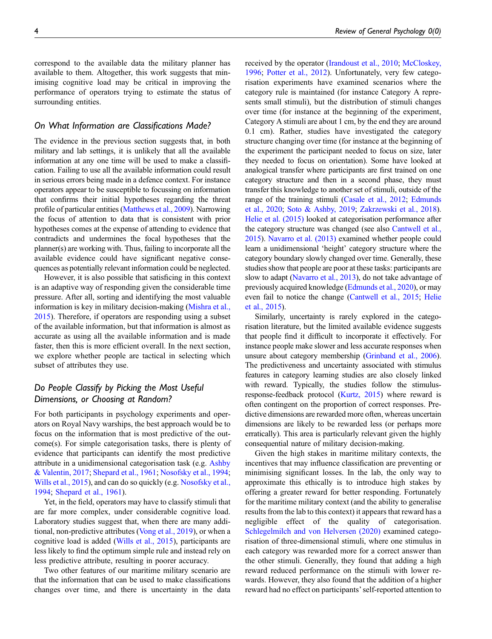correspond to the available data the military planner has available to them. Altogether, this work suggests that minimising cognitive load may be critical in improving the performance of operators trying to estimate the status of surrounding entities.

#### On What Information are Classifications Made?

The evidence in the previous section suggests that, in both military and lab settings, it is unlikely that all the available information at any one time will be used to make a classification. Failing to use all the available information could result in serious errors being made in a defence context. For instance operators appear to be susceptible to focussing on information that confirms their initial hypotheses regarding the threat profile of particular entities ([Matthews et al., 2009](#page-16-1)). Narrowing the focus of attention to data that is consistent with prior hypotheses comes at the expense of attending to evidence that contradicts and undermines the focal hypotheses that the planner(s) are working with. Thus, failing to incorporate all the available evidence could have significant negative consequences as potentially relevant information could be neglected.

However, it is also possible that satisficing in this context is an adaptive way of responding given the considerable time pressure. After all, sorting and identifying the most valuable information is key in military decision-making [\(Mishra et al.,](#page-16-4) [2015](#page-16-4)). Therefore, if operators are responding using a subset of the available information, but that information is almost as accurate as using all the available information and is made faster, then this is more efficient overall. In the next section, we explore whether people are tactical in selecting which subset of attributes they use.

## Do People Classify by Picking the Most Useful Dimensions, or Choosing at Random?

For both participants in psychology experiments and operators on Royal Navy warships, the best approach would be to focus on the information that is most predictive of the outcome(s). For simple categorisation tasks, there is plenty of evidence that participants can identify the most predictive attribute in a unidimensional categorisation task (e.g. [Ashby](#page-12-4) [& Valentin, 2017](#page-12-4); [Shepard et al., 1961;](#page-17-5) [Nosofsky et al., 1994](#page-16-5); [Wills et al., 2015](#page-18-2)), and can do so quickly (e.g. [Nosofsky et al.,](#page-16-5) [1994](#page-16-5); [Shepard et al., 1961\)](#page-17-5).

Yet, in the field, operators may have to classify stimuli that are far more complex, under considerable cognitive load. Laboratory studies suggest that, when there are many additional, non-predictive attributes ([Vong et al., 2019\)](#page-18-4), or when a cognitive load is added ([Wills et al., 2015](#page-18-2)), participants are less likely to find the optimum simple rule and instead rely on less predictive attribute, resulting in poorer accuracy.

Two other features of our maritime military scenario are that the information that can be used to make classifications changes over time, and there is uncertainty in the data received by the operator [\(Irandoust et al., 2010](#page-14-7); [McCloskey,](#page-16-6) [1996;](#page-16-6) [Potter et al., 2012](#page-17-6)). Unfortunately, very few categorisation experiments have examined scenarios where the category rule is maintained (for instance Category A represents small stimuli), but the distribution of stimuli changes over time (for instance at the beginning of the experiment, Category A stimuli are about 1 cm, by the end they are around 0.1 cm). Rather, studies have investigated the category structure changing over time (for instance at the beginning of the experiment the participant needed to focus on size, later they needed to focus on orientation). Some have looked at analogical transfer where participants are first trained on one category structure and then in a second phase, they must transfer this knowledge to another set of stimuli, outside of the range of the training stimuli ([Casale et al., 2012;](#page-13-4) [Edmunds](#page-13-3) [et al., 2020;](#page-13-3) [Soto & Ashby, 2019](#page-18-5); [Zakrzewski et al., 2018\)](#page-19-0). [Helie et al. \(2015\)](#page-14-8) looked at categorisation performance after the category structure was changed (see also [Cantwell et al.,](#page-13-5) [2015](#page-13-5)). [Navarro et al. \(2013\)](#page-16-7) examined whether people could learn a unidimensional 'height' category structure where the category boundary slowly changed over time. Generally, these studies show that people are poor at these tasks: participants are slow to adapt ([Navarro et al., 2013\)](#page-16-7), do not take advantage of previously acquired knowledge [\(Edmunds et al., 2020](#page-13-3)), or may even fail to notice the change ([Cantwell et al., 2015;](#page-13-5) [Helie](#page-14-8) [et al., 2015](#page-14-8)).

Similarly, uncertainty is rarely explored in the categorisation literature, but the limited available evidence suggests that people find it difficult to incorporate it effectively. For instance people make slower and less accurate responses when unsure about category membership ([Grinband et al., 2006\)](#page-14-9). The predictiveness and uncertainty associated with stimulus features in category learning studies are also closely linked with reward. Typically, the studies follow the stimulusresponse-feedback protocol ([Kurtz, 2015](#page-15-1)) where reward is often contingent on the proportion of correct responses. Predictive dimensions are rewarded more often, whereas uncertain dimensions are likely to be rewarded less (or perhaps more erratically). This area is particularly relevant given the highly consequential nature of military decision-making.

Given the high stakes in maritime military contexts, the incentives that may influence classification are preventing or minimising significant losses. In the lab, the only way to approximate this ethically is to introduce high stakes by offering a greater reward for better responding. Fortunately for the maritime military context (and the ability to generalise results from the lab to this context) it appears that reward has a negligible effect of the quality of categorisation. [Schlegelmilch and von Helversen \(2020\)](#page-17-7) examined categorisation of three-dimensional stimuli, where one stimulus in each category was rewarded more for a correct answer than the other stimuli. Generally, they found that adding a high reward reduced performance on the stimuli with lower rewards. However, they also found that the addition of a higher reward had no effect on participants'self-reported attention to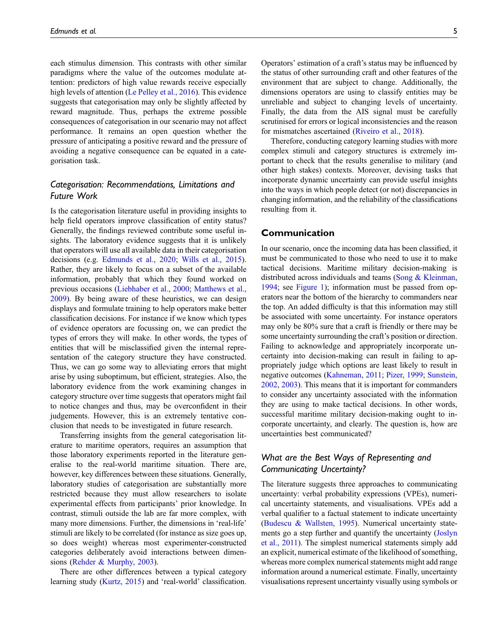each stimulus dimension. This contrasts with other similar paradigms where the value of the outcomes modulate attention: predictors of high value rewards receive especially high levels of attention ([Le Pelley et al., 2016\)](#page-15-5). This evidence suggests that categorisation may only be slightly affected by reward magnitude. Thus, perhaps the extreme possible consequences of categorisation in our scenario may not affect performance. It remains an open question whether the pressure of anticipating a positive reward and the pressure of avoiding a negative consequence can be equated in a categorisation task.

## Categorisation: Recommendations, Limitations and Future Work

Is the categorisation literature useful in providing insights to help field operators improve classification of entity status? Generally, the findings reviewed contribute some useful insights. The laboratory evidence suggests that it is unlikely that operators will use all available data in their categorisation decisions (e.g. [Edmunds et al., 2020;](#page-13-3) [Wills et al., 2015\)](#page-18-2). Rather, they are likely to focus on a subset of the available information, probably that which they found worked on previous occasions ([Liebhaber et al., 2000](#page-15-4); [Matthews et al.,](#page-16-1) [2009\)](#page-16-1). By being aware of these heuristics, we can design displays and formulate training to help operators make better classification decisions. For instance if we know which types of evidence operators are focussing on, we can predict the types of errors they will make. In other words, the types of entities that will be misclassified given the internal representation of the category structure they have constructed. Thus, we can go some way to alleviating errors that might arise by using suboptimum, but efficient, strategies. Also, the laboratory evidence from the work examining changes in category structure over time suggests that operators might fail to notice changes and thus, may be overconfident in their judgements. However, this is an extremely tentative conclusion that needs to be investigated in future research.

Transferring insights from the general categorisation literature to maritime operators, requires an assumption that those laboratory experiments reported in the literature generalise to the real-world maritime situation. There are, however, key differences between these situations. Generally, laboratory studies of categorisation are substantially more restricted because they must allow researchers to isolate experimental effects from participants' prior knowledge. In contrast, stimuli outside the lab are far more complex, with many more dimensions. Further, the dimensions in 'real-life' stimuli are likely to be correlated (for instance as size goes up, so does weight) whereas most experimenter-constructed categories deliberately avoid interactions between dimensions ([Rehder & Murphy, 2003\)](#page-17-8).

There are other differences between a typical category learning study [\(Kurtz, 2015\)](#page-15-1) and 'real-world' classification. Operators' estimation of a craft's status may be influenced by the status of other surrounding craft and other features of the environment that are subject to change. Additionally, the dimensions operators are using to classify entities may be unreliable and subject to changing levels of uncertainty. Finally, the data from the AIS signal must be carefully scrutinised for errors or logical inconsistencies and the reason for mismatches ascertained ([Riveiro et al., 2018](#page-17-0)).

Therefore, conducting category learning studies with more complex stimuli and category structures is extremely important to check that the results generalise to military (and other high stakes) contexts. Moreover, devising tasks that incorporate dynamic uncertainty can provide useful insights into the ways in which people detect (or not) discrepancies in changing information, and the reliability of the classifications resulting from it.

#### Communication

In our scenario, once the incoming data has been classified, it must be communicated to those who need to use it to make tactical decisions. Maritime military decision-making is distributed across individuals and teams ([Song & Kleinman,](#page-18-6) [1994](#page-18-6); see [Figure 1\)](#page-1-0); information must be passed from operators near the bottom of the hierarchy to commanders near the top. An added difficulty is that this information may still be associated with some uncertainty. For instance operators may only be 80% sure that a craft is friendly or there may be some uncertainty surrounding the craft's position or direction. Failing to acknowledge and appropriately incorporate uncertainty into decision-making can result in failing to appropriately judge which options are least likely to result in negative outcomes [\(Kahneman, 2011](#page-15-6); [Pizer, 1999;](#page-17-9) [Sunstein,](#page-18-7) [2002](#page-18-7), [2003](#page-18-8)). This means that it is important for commanders to consider any uncertainty associated with the information they are using to make tactical decisions. In other words, successful maritime military decision-making ought to incorporate uncertainty, and clearly. The question is, how are uncertainties best communicated?

## What are the Best Ways of Representing and Communicating Uncertainty?

The literature suggests three approaches to communicating uncertainty: verbal probability expressions (VPEs), numerical uncertainty statements, and visualisations. VPEs add a verbal qualifier to a factual statement to indicate uncertainty ([Budescu & Wallsten, 1995](#page-13-6)). Numerical uncertainty statements go a step further and quantify the uncertainty ([Joslyn](#page-15-7) [et al., 2011](#page-15-7)). The simplest numerical statements simply add an explicit, numerical estimate of the likelihood of something, whereas more complex numerical statements might add range information around a numerical estimate. Finally, uncertainty visualisations represent uncertainty visually using symbols or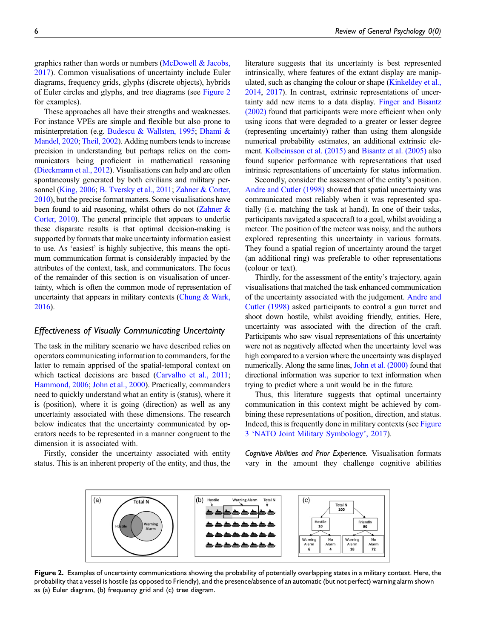graphics rather than words or numbers [\(McDowell & Jacobs,](#page-16-8) [2017](#page-16-8)). Common visualisations of uncertainty include Euler diagrams, frequency grids, glyphs (discrete objects), hybrids of Euler circles and glyphs, and tree diagrams (see [Figure 2](#page-5-0) for examples).

These approaches all have their strengths and weaknesses. For instance VPEs are simple and flexible but also prone to misinterpretation (e.g. [Budescu & Wallsten, 1995;](#page-13-6) [Dhami &](#page-13-7) [Mandel, 2020;](#page-13-7) [Theil, 2002\)](#page-18-9). Adding numbers tends to increase precision in understanding but perhaps relies on the communicators being proficient in mathematical reasoning [\(Dieckmann et al., 2012\)](#page-13-8). Visualisations can help and are often spontaneously generated by both civilians and military personnel [\(King, 2006](#page-15-8); [B. Tversky et al., 2011;](#page-18-10) [Zahner & Corter,](#page-18-11) [2010\)](#page-18-11), but the precise format matters. Some visualisations have been found to aid reasoning, whilst others do not [\(Zahner &](#page-18-11) [Corter, 2010\)](#page-18-11). The general principle that appears to underlie these disparate results is that optimal decision-making is supported by formats that make uncertainty information easiest to use. As 'easiest' is highly subjective, this means the optimum communication format is considerably impacted by the attributes of the context, task, and communicators. The focus of the remainder of this section is on visualisation of uncertainty, which is often the common mode of representation of uncertainty that appears in military contexts (Chung  $&$  Wark, [2016\)](#page-13-9).

#### Effectiveness of Visually Communicating Uncertainty

The task in the military scenario we have described relies on operators communicating information to commanders, for the latter to remain apprised of the spatial-temporal context on which tactical decisions are based ([Carvalho et al., 2011](#page-13-0); [Hammond, 2006;](#page-14-2) [John et al., 2000](#page-14-10)). Practically, commanders need to quickly understand what an entity is (status), where it is (position), where it is going (direction) as well as any uncertainty associated with these dimensions. The research below indicates that the uncertainty communicated by operators needs to be represented in a manner congruent to the dimension it is associated with.

Firstly, consider the uncertainty associated with entity status. This is an inherent property of the entity, and thus, the literature suggests that its uncertainty is best represented intrinsically, where features of the extant display are manipulated, such as changing the colour or shape [\(Kinkeldey et al.,](#page-15-9) [2014](#page-15-9), [2017](#page-15-10)). In contrast, extrinsic representations of uncertainty add new items to a data display. [Finger and Bisantz](#page-14-3) [\(2002\)](#page-14-3) found that participants were more efficient when only using icons that were degraded to a greater or lesser degree (representing uncertainty) rather than using them alongside numerical probability estimates, an additional extrinsic element. [Kolbeinsson et al. \(2015\)](#page-15-11) and [Bisantz et al. \(2005\)](#page-13-10) also found superior performance with representations that used intrinsic representations of uncertainty for status information.

Secondly, consider the assessment of the entity's position. [Andre and Cutler \(1998\)](#page-12-5) showed that spatial uncertainty was communicated most reliably when it was represented spatially (i.e. matching the task at hand). In one of their tasks, participants navigated a spacecraft to a goal, whilst avoiding a meteor. The position of the meteor was noisy, and the authors explored representing this uncertainty in various formats. They found a spatial region of uncertainty around the target (an additional ring) was preferable to other representations (colour or text).

Thirdly, for the assessment of the entity's trajectory, again visualisations that matched the task enhanced communication of the uncertainty associated with the judgement. [Andre and](#page-12-5) [Cutler \(1998\)](#page-12-5) asked participants to control a gun turret and shoot down hostile, whilst avoiding friendly, entities. Here, uncertainty was associated with the direction of the craft. Participants who saw visual representations of this uncertainty were not as negatively affected when the uncertainty level was high compared to a version where the uncertainty was displayed numerically. Along the same lines, [John et al. \(2000\)](#page-14-10) found that directional information was superior to text information when trying to predict where a unit would be in the future.

Thus, this literature suggests that optimal uncertainty communication in this context might be achieved by combining these representations of position, direction, and status. Indeed, this is frequently done in military contexts (see [Figure](#page-6-0) [3](#page-6-0) '[NATO Joint Military Symbology](#page-16-0)', 2017).

Cognitive Abilities and Prior Experience. Visualisation formats vary in the amount they challenge cognitive abilities



<span id="page-5-0"></span>Figure 2. Examples of uncertainty communications showing the probability of potentially overlapping states in a military context. Here, the probability that a vessel is hostile (as opposed to Friendly), and the presence/absence of an automatic (but not perfect) warning alarm shown as (a) Euler diagram, (b) frequency grid and (c) tree diagram.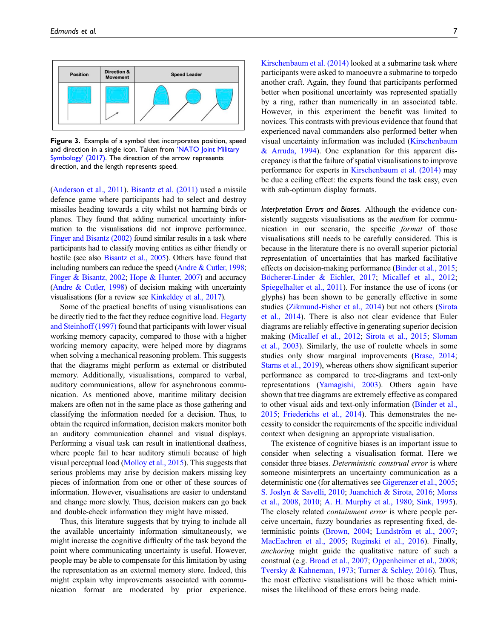

<span id="page-6-0"></span>Figure 3. Example of a symbol that incorporates position, speed and direction in a single icon. Taken from '[NATO Joint Military](#page-16-0) [Symbology](#page-16-0)' (2017). The direction of the arrow represents direction, and the length represents speed.

[\(Anderson et al., 2011\)](#page-12-6). [Bisantz et al. \(2011\)](#page-12-7) used a missile defence game where participants had to select and destroy missiles heading towards a city whilst not harming birds or planes. They found that adding numerical uncertainty information to the visualisations did not improve performance. [Finger and Bisantz \(2002\)](#page-14-3) found similar results in a task where participants had to classify moving entities as either friendly or hostile (see also [Bisantz et al., 2005](#page-13-10)). Others have found that including numbers can reduce the speed [\(Andre & Cutler, 1998;](#page-12-5) [Finger & Bisantz, 2002;](#page-14-3) [Hope & Hunter, 2007](#page-14-11)) and accuracy [\(Andre & Cutler, 1998\)](#page-12-5) of decision making with uncertainty visualisations (for a review see [Kinkeldey et al., 2017\)](#page-15-10).

Some of the practical benefits of using visualisations can be directly tied to the fact they reduce cognitive load. [Hegarty](#page-14-12) [and Steinhoff \(1997\)](#page-14-12) found that participants with lower visual working memory capacity, compared to those with a higher working memory capacity, were helped more by diagrams when solving a mechanical reasoning problem. This suggests that the diagrams might perform as external or distributed memory. Additionally, visualisations, compared to verbal, auditory communications, allow for asynchronous communication. As mentioned above, maritime military decision makers are often not in the same place as those gathering and classifying the information needed for a decision. Thus, to obtain the required information, decision makers monitor both an auditory communication channel and visual displays. Performing a visual task can result in inattentional deafness, where people fail to hear auditory stimuli because of high visual perceptual load ([Molloy et al., 2015](#page-16-9)). This suggests that serious problems may arise by decision makers missing key pieces of information from one or other of these sources of information. However, visualisations are easier to understand and change more slowly. Thus, decision makers can go back and double-check information they might have missed.

Thus, this literature suggests that by trying to include all the available uncertainty information simultaneously, we might increase the cognitive difficulty of the task beyond the point where communicating uncertainty is useful. However, people may be able to compensate for this limitation by using the representation as an external memory store. Indeed, this might explain why improvements associated with communication format are moderated by prior experience.

[Kirschenbaum et al. \(2014\)](#page-15-12) looked at a submarine task where participants were asked to manoeuvre a submarine to torpedo another craft. Again, they found that participants performed better when positional uncertainty was represented spatially by a ring, rather than numerically in an associated table. However, in this experiment the benefit was limited to novices. This contrasts with previous evidence that found that experienced naval commanders also performed better when visual uncertainty information was included [\(Kirschenbaum](#page-15-13) [& Arruda, 1994](#page-15-13)). One explanation for this apparent discrepancy is that the failure of spatial visualisations to improve performance for experts in [Kirschenbaum et al. \(2014\)](#page-15-12) may be due a ceiling effect: the experts found the task easy, even with sub-optimum display formats.

Interpretation Errors and Biases. Although the evidence consistently suggests visualisations as the *medium* for communication in our scenario, the specific format of those visualisations still needs to be carefully considered. This is because in the literature there is no overall superior pictorial representation of uncertainties that has marked facilitative effects on decision-making performance ([Binder et al., 2015](#page-12-8); Böcherer-Linder & Eichler, 2017; [Micallef et al., 2012](#page-16-10); [Spiegelhalter et al., 2011\)](#page-18-12). For instance the use of icons (or glyphs) has been shown to be generally effective in some studies [\(Zikmund-Fisher et al., 2014\)](#page-19-1) but not others [\(Sirota](#page-17-10) [et al., 2014\)](#page-17-10). There is also not clear evidence that Euler diagrams are reliably effective in generating superior decision making [\(Micallef et al., 2012](#page-16-10); [Sirota et al., 2015;](#page-17-11) [Sloman](#page-17-12) [et al., 2003\)](#page-17-12). Similarly, the use of roulette wheels in some studies only show marginal improvements ([Brase, 2014](#page-13-12); [Starns et al., 2019\)](#page-18-13), whereas others show significant superior performance as compared to tree-diagrams and text-only representations [\(Yamagishi, 2003](#page-18-14)). Others again have shown that tree diagrams are extremely effective as compared to other visual aids and text-only information ([Binder et al.,](#page-12-8) [2015](#page-12-8); [Friederichs et al., 2014\)](#page-14-13). This demonstrates the necessity to consider the requirements of the specific individual context when designing an appropriate visualisation.

The existence of cognitive biases is an important issue to consider when selecting a visualisation format. Here we consider three biases. Deterministic construal error is where someone misinterprets an uncertainty communication as a deterministic one (for alternatives see [Gigerenzer et al., 2005](#page-14-14); [S. Joslyn & Savelli, 2010;](#page-15-14) [Juanchich & Sirota, 2016;](#page-15-15) [Morss](#page-16-11) [et al., 2008](#page-16-11), [2010;](#page-16-12) [A. H. Murphy et al., 1980](#page-16-13); [Sink, 1995](#page-17-13)). The closely related *containment error* is where people perceive uncertain, fuzzy boundaries as representing fixed, de-terministic points [\(Brown, 2004;](#page-13-13) Lundström et al., 2007; [MacEachren et al., 2005;](#page-16-14) [Ruginski et al., 2016\)](#page-17-14). Finally, anchoring might guide the qualitative nature of such a construal (e.g. [Broad et al., 2007](#page-13-14); [Oppenheimer et al., 2008](#page-16-15); [Tversky & Kahneman, 1973;](#page-18-15) [Turner & Schley, 2016](#page-18-16)). Thus, the most effective visualisations will be those which minimises the likelihood of these errors being made.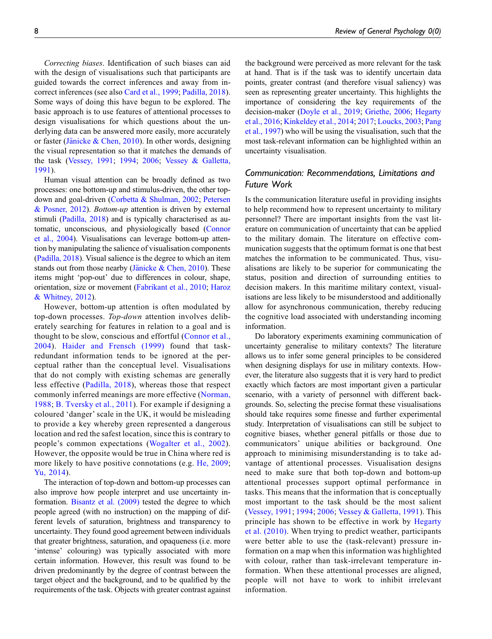Correcting biases. Identification of such biases can aid with the design of visualisations such that participants are guided towards the correct inferences and away from incorrect inferences (see also [Card et al., 1999;](#page-13-15) [Padilla, 2018\)](#page-17-15). Some ways of doing this have begun to be explored. The basic approach is to use features of attentional processes to design visualisations for which questions about the underlying data can be answered more easily, more accurately or faster (Jänicke & Chen, 2010). In other words, designing the visual representation so that it matches the demands of the task ([Vessey, 1991](#page-18-17); [1994](#page-18-18); [2006](#page-18-19); [Vessey & Galletta,](#page-18-20) [1991](#page-18-20)).

Human visual attention can be broadly defined as two processes: one bottom-up and stimulus-driven, the other topdown and goal-driven ([Corbetta & Shulman, 2002;](#page-13-16) [Petersen](#page-17-16) [& Posner, 2012\)](#page-17-16). Bottom-up attention is driven by external stimuli [\(Padilla, 2018\)](#page-17-15) and is typically characterised as automatic, unconscious, and physiologically based ([Connor](#page-13-17) [et al., 2004\)](#page-13-17). Visualisations can leverage bottom-up attention by manipulating the salience of visualisation components [\(Padilla, 2018](#page-17-15)). Visual salience is the degree to which an item stands out from those nearby [\(J](#page-14-15)änicke  $&$  Chen, 2010). These items might 'pop-out' due to differences in colour, shape, orientation, size or movement [\(Fabrikant et al., 2010;](#page-14-16) [Haroz](#page-14-17) [& Whitney, 2012](#page-14-17)).

However, bottom-up attention is often modulated by top-down processes. Top-down attention involves deliberately searching for features in relation to a goal and is thought to be slow, conscious and effortful ([Connor et al.,](#page-13-17) [2004](#page-13-17)). [Haider and Frensch \(1999\)](#page-14-18) found that taskredundant information tends to be ignored at the perceptual rather than the conceptual level. Visualisations that do not comply with existing schemas are generally less effective ([Padilla, 2018](#page-17-15)), whereas those that respect commonly inferred meanings are more effective ([Norman,](#page-16-16) [1988](#page-16-16); [B. Tversky et al., 2011](#page-18-10)). For example if designing a coloured 'danger' scale in the UK, it would be misleading to provide a key whereby green represented a dangerous location and red the safest location, since this is contrary to people's common expectations ([Wogalter et al., 2002\)](#page-18-21). However, the opposite would be true in China where red is more likely to have positive connotations (e.g. [He, 2009](#page-14-19); [Yu, 2014\)](#page-18-22).

The interaction of top-down and bottom-up processes can also improve how people interpret and use uncertainty information. [Bisantz et al. \(2009\)](#page-13-18) tested the degree to which people agreed (with no instruction) on the mapping of different levels of saturation, brightness and transparency to uncertainty. They found good agreement between individuals that greater brightness, saturation, and opaqueness (i.e. more 'intense' colouring) was typically associated with more certain information. However, this result was found to be driven predominantly by the degree of contrast between the target object and the background, and to be qualified by the requirements of the task. Objects with greater contrast against

the background were perceived as more relevant for the task at hand. That is if the task was to identify uncertain data points, greater contrast (and therefore visual saliency) was seen as representing greater uncertainty. This highlights the importance of considering the key requirements of the decision-maker [\(Doyle et al., 2019;](#page-13-19) [Griethe, 2006](#page-14-20); [Hegarty](#page-14-21) [et al., 2016;](#page-14-21) [Kinkeldey et al., 2014](#page-15-9); [2017;](#page-15-10) [Loucks, 2003;](#page-15-17) [Pang](#page-17-17) [et al., 1997](#page-17-17)) who will be using the visualisation, such that the most task-relevant information can be highlighted within an uncertainty visualisation.

## Communication: Recommendations, Limitations and Future Work

Is the communication literature useful in providing insights to help recommend how to represent uncertainty to military personnel? There are important insights from the vast literature on communication of uncertainty that can be applied to the military domain. The literature on effective communication suggests that the optimum format is one that best matches the information to be communicated. Thus, visualisations are likely to be superior for communicating the status, position and direction of surrounding entities to decision makers. In this maritime military context, visualisations are less likely to be misunderstood and additionally allow for asynchronous communication, thereby reducing the cognitive load associated with understanding incoming information.

Do laboratory experiments examining communication of uncertainty generalise to military contexts? The literature allows us to infer some general principles to be considered when designing displays for use in military contexts. However, the literature also suggests that it is very hard to predict exactly which factors are most important given a particular scenario, with a variety of personnel with different backgrounds. So, selecting the precise format these visualisations should take requires some finesse and further experimental study. Interpretation of visualisations can still be subject to cognitive biases, whether general pitfalls or those due to communicators' unique abilities or background. One approach to minimising misunderstanding is to take advantage of attentional processes. Visualisation designs need to make sure that both top-down and bottom-up attentional processes support optimal performance in tasks. This means that the information that is conceptually most important to the task should be the most salient ([Vessey, 1991](#page-18-17); [1994](#page-18-18); [2006](#page-18-19); [Vessey & Galletta, 1991\)](#page-18-20). This principle has shown to be effective in work by [Hegarty](#page-14-22) [et al. \(2010\).](#page-14-22) When trying to predict weather, participants were better able to use the (task-relevant) pressure information on a map when this information was highlighted with colour, rather than task-irrelevant temperature information. When these attentional processes are aligned, people will not have to work to inhibit irrelevant information.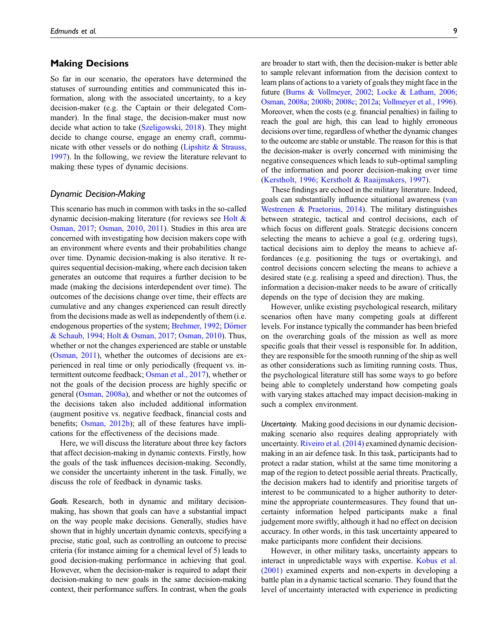#### Making Decisions

So far in our scenario, the operators have determined the statuses of surrounding entities and communicated this information, along with the associated uncertainty, to a key decision-maker (e.g. the Captain or their delegated Commander). In the final stage, the decision-maker must now decide what action to take [\(Szeligowski, 2018](#page-18-23)). They might decide to change course, engage an enemy craft, communicate with other vessels or do nothing ([Lipshitz & Strauss,](#page-15-18) [1997\)](#page-15-18). In the following, we review the literature relevant to making these types of dynamic decisions.

#### Dynamic Decision-Making

This scenario has much in common with tasks in the so-called dynamic decision-making literature (for reviews see Holt  $\&$ [Osman, 2017;](#page-14-23) [Osman, 2010](#page-16-17), [2011\)](#page-16-18). Studies in this area are concerned with investigating how decision makers cope with an environment where events and their probabilities change over time. Dynamic decision-making is also iterative. It requires sequential decision-making, where each decision taken generates an outcome that requires a further decision to be made (making the decisions interdependent over time). The outcomes of the decisions change over time, their effects are cumulative and any changes experienced can result directly from the decisions made as well as independently of them (i.e. endogenous properties of the system; [Brehmer, 1992](#page-13-20); Dörner [& Schaub, 1994;](#page-13-21) [Holt & Osman, 2017;](#page-14-23) [Osman, 2010\)](#page-16-17). Thus, whether or not the changes experienced are stable or unstable [\(Osman, 2011\)](#page-16-18), whether the outcomes of decisions are experienced in real time or only periodically (frequent vs. intermittent outcome feedback; [Osman et al., 2017](#page-16-19)), whether or not the goals of the decision process are highly specific or general [\(Osman, 2008a\)](#page-16-20), and whether or not the outcomes of the decisions taken also included additional information (augment positive vs. negative feedback, financial costs and benefits; [Osman, 2012b](#page-16-21)); all of these features have implications for the effectiveness of the decisions made.

Here, we will discuss the literature about three key factors that affect decision-making in dynamic contexts. Firstly, how the goals of the task influences decision-making. Secondly, we consider the uncertainty inherent in the task. Finally, we discuss the role of feedback in dynamic tasks.

Goals. Research, both in dynamic and military decisionmaking, has shown that goals can have a substantial impact on the way people make decisions. Generally, studies have shown that in highly uncertain dynamic contexts, specifying a precise, static goal, such as controlling an outcome to precise criteria (for instance aiming for a chemical level of 5) leads to good decision-making performance in achieving that goal. However, when the decision-maker is required to adapt their decision-making to new goals in the same decision-making context, their performance suffers. In contrast, when the goals are broader to start with, then the decision-maker is better able to sample relevant information from the decision context to learn plans of actions to a variety of goals they might face in the future [\(Burns & Vollmeyer, 2002;](#page-13-22) [Locke & Latham, 2006](#page-15-19); [Osman, 2008a;](#page-16-20) [2008b](#page-16-22); [2008c](#page-16-23); [2012a](#page-16-24); [Vollmeyer et al., 1996](#page-18-24)). Moreover, when the costs (e.g. financial penalties) in failing to reach the goal are high, this can lead to highly erroneous decisions over time, regardless of whether the dynamic changes to the outcome are stable or unstable. The reason for this is that the decision-maker is overly concerned with minimising the negative consequences which leads to sub-optimal sampling of the information and poorer decision-making over time ([Kerstholt, 1996](#page-15-20); [Kerstholt & Raaijmakers, 1997](#page-15-21)).

These findings are echoed in the military literature. Indeed, goals can substantially influence situational awareness ([van](#page-18-25) [Westrenen & Praetorius, 2014](#page-18-25)). The military distinguishes between strategic, tactical and control decisions, each of which focus on different goals. Strategic decisions concern selecting the means to achieve a goal (e.g. ordering tugs), tactical decisions aim to deploy the means to achieve affordances (e.g. positioning the tugs or overtaking), and control decisions concern selecting the means to achieve a desired state (e.g. realising a speed and direction). Thus, the information a decision-maker needs to be aware of critically depends on the type of decision they are making.

However, unlike existing psychological research, military scenarios often have many competing goals at different levels. For instance typically the commander has been briefed on the overarching goals of the mission as well as more specific goals that their vessel is responsible for. In addition, they are responsible for the smooth running of the ship as well as other considerations such as limiting running costs. Thus, the psychological literature still has some ways to go before being able to completely understand how competing goals with varying stakes attached may impact decision-making in such a complex environment.

Uncertainty. Making good decisions in our dynamic decisionmaking scenario also requires dealing appropriately with uncertainty. [Riveiro et al. \(2014\)](#page-17-18) examined dynamic decisionmaking in an air defence task. In this task, participants had to protect a radar station, whilst at the same time monitoring a map of the region to detect possible aerial threats. Practically, the decision makers had to identify and prioritise targets of interest to be communicated to a higher authority to determine the appropriate countermeasures. They found that uncertainty information helped participants make a final judgement more swiftly, although it had no effect on decision accuracy. In other words, in this task uncertainty appeared to make participants more confident their decisions.

However, in other military tasks, uncertainty appears to interact in unpredictable ways with expertise. [Kobus et al.](#page-15-0) [\(2001\)](#page-15-0) examined experts and non-experts in developing a battle plan in a dynamic tactical scenario. They found that the level of uncertainty interacted with experience in predicting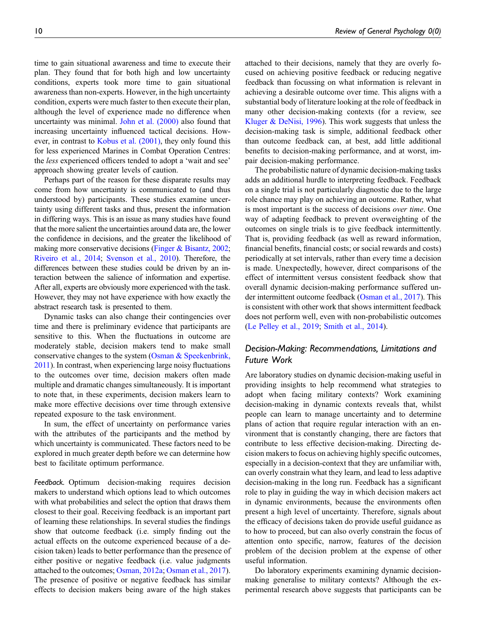time to gain situational awareness and time to execute their plan. They found that for both high and low uncertainty conditions, experts took more time to gain situational awareness than non-experts. However, in the high uncertainty condition, experts were much faster to then execute their plan, although the level of experience made no difference when uncertainty was minimal. [John et al. \(2000\)](#page-14-10) also found that increasing uncertainty influenced tactical decisions. However, in contrast to [Kobus et al. \(2001\),](#page-15-0) they only found this for less experienced Marines in Combat Operation Centres: the less experienced officers tended to adopt a 'wait and see' approach showing greater levels of caution.

Perhaps part of the reason for these disparate results may come from how uncertainty is communicated to (and thus understood by) participants. These studies examine uncertainty using different tasks and thus, present the information in differing ways. This is an issue as many studies have found that the more salient the uncertainties around data are, the lower the confidence in decisions, and the greater the likelihood of making more conservative decisions ([Finger & Bisantz, 2002](#page-14-3); [Riveiro et al., 2014](#page-17-18); [Svenson et al., 2010\)](#page-18-26). Therefore, the differences between these studies could be driven by an interaction between the salience of information and expertise. After all, experts are obviously more experienced with the task. However, they may not have experience with how exactly the abstract research task is presented to them.

Dynamic tasks can also change their contingencies over time and there is preliminary evidence that participants are sensitive to this. When the fluctuations in outcome are moderately stable, decision makers tend to make small conservative changes to the system [\(Osman & Speekenbrink,](#page-16-25) [2011\)](#page-16-25). In contrast, when experiencing large noisy fluctuations to the outcomes over time, decision makers often made multiple and dramatic changes simultaneously. It is important to note that, in these experiments, decision makers learn to make more effective decisions over time through extensive repeated exposure to the task environment.

In sum, the effect of uncertainty on performance varies with the attributes of the participants and the method by which uncertainty is communicated. These factors need to be explored in much greater depth before we can determine how best to facilitate optimum performance.

Feedback. Optimum decision-making requires decision makers to understand which options lead to which outcomes with what probabilities and select the option that draws them closest to their goal. Receiving feedback is an important part of learning these relationships. In several studies the findings show that outcome feedback (i.e. simply finding out the actual effects on the outcome experienced because of a decision taken) leads to better performance than the presence of either positive or negative feedback (i.e. value judgments attached to the outcomes; [Osman, 2012a;](#page-16-24) [Osman et al., 2017](#page-16-19)). The presence of positive or negative feedback has similar effects to decision makers being aware of the high stakes

attached to their decisions, namely that they are overly focused on achieving positive feedback or reducing negative feedback than focussing on what information is relevant in achieving a desirable outcome over time. This aligns with a substantial body of literature looking at the role of feedback in many other decision-making contexts (for a review, see [Kluger & DeNisi, 1996\)](#page-15-22). This work suggests that unless the decision-making task is simple, additional feedback other than outcome feedback can, at best, add little additional benefits to decision-making performance, and at worst, impair decision-making performance.

The probabilistic nature of dynamic decision-making tasks adds an additional hurdle to interpreting feedback. Feedback on a single trial is not particularly diagnostic due to the large role chance may play on achieving an outcome. Rather, what is most important is the success of decisions over time. One way of adapting feedback to prevent overweighting of the outcomes on single trials is to give feedback intermittently. That is, providing feedback (as well as reward information, financial benefits, financial costs; or social rewards and costs) periodically at set intervals, rather than every time a decision is made. Unexpectedly, however, direct comparisons of the effect of intermittent versus consistent feedback show that overall dynamic decision-making performance suffered under intermittent outcome feedback [\(Osman et al., 2017\)](#page-16-19). This is consistent with other work that shows intermittent feedback does not perform well, even with non-probabilistic outcomes ([Le Pelley et al., 2019](#page-15-23); [Smith et al., 2014\)](#page-17-19).

## Decision-Making: Recommendations, Limitations and Future Work

Are laboratory studies on dynamic decision-making useful in providing insights to help recommend what strategies to adopt when facing military contexts? Work examining decision-making in dynamic contexts reveals that, whilst people can learn to manage uncertainty and to determine plans of action that require regular interaction with an environment that is constantly changing, there are factors that contribute to less effective decision-making. Directing decision makers to focus on achieving highly specific outcomes, especially in a decision-context that they are unfamiliar with, can overly constrain what they learn, and lead to less adaptive decision-making in the long run. Feedback has a significant role to play in guiding the way in which decision makers act in dynamic environments, because the environments often present a high level of uncertainty. Therefore, signals about the efficacy of decisions taken do provide useful guidance as to how to proceed, but can also overly constrain the focus of attention onto specific, narrow, features of the decision problem of the decision problem at the expense of other useful information.

Do laboratory experiments examining dynamic decisionmaking generalise to military contexts? Although the experimental research above suggests that participants can be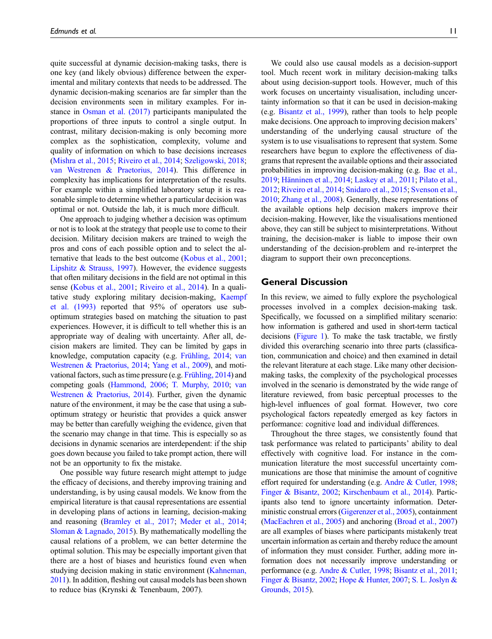quite successful at dynamic decision-making tasks, there is one key (and likely obvious) difference between the experimental and military contexts that needs to be addressed. The dynamic decision-making scenarios are far simpler than the decision environments seen in military examples. For instance in [Osman et al. \(2017\)](#page-16-19) participants manipulated the proportions of three inputs to control a single output. In contrast, military decision-making is only becoming more complex as the sophistication, complexity, volume and quality of information on which to base decisions increases [\(Mishra et al., 2015;](#page-16-4) [Riveiro et al., 2014](#page-17-18); [Szeligowski, 2018;](#page-18-23) [van Westrenen & Praetorius, 2014\)](#page-18-25). This difference in complexity has implications for interpretation of the results. For example within a simplified laboratory setup it is reasonable simple to determine whether a particular decision was optimal or not. Outside the lab, it is much more difficult.

One approach to judging whether a decision was optimum or not is to look at the strategy that people use to come to their decision. Military decision makers are trained to weigh the pros and cons of each possible option and to select the alternative that leads to the best outcome [\(Kobus et al., 2001;](#page-15-0) [Lipshitz & Strauss, 1997](#page-15-18)). However, the evidence suggests that often military decisions in the field are not optimal in this sense ([Kobus et al., 2001](#page-15-0); [Riveiro et al., 2014\)](#page-17-18). In a qualitative study exploring military decision-making, [Kaempf](#page-15-24) [et al. \(1993\)](#page-15-24) reported that 95% of operators use suboptimum strategies based on matching the situation to past experiences. However, it is difficult to tell whether this is an appropriate way of dealing with uncertainty. After all, decision makers are limited. They can be limited by gaps in knowledge, computation capacity (e.g. [Frühling, 2014](#page-14-24); [van](#page-18-25) [Westrenen & Praetorius, 2014;](#page-18-25) [Yang et al., 2009](#page-18-27)), and motivational factors, such as time pressure (e.g. [Frühling, 2014](#page-14-24)) and competing goals ([Hammond, 2006;](#page-14-2) [T. Murphy, 2010;](#page-16-26) [van](#page-18-25) [Westrenen & Praetorius, 2014](#page-18-25)). Further, given the dynamic nature of the environment, it may be the case that using a suboptimum strategy or heuristic that provides a quick answer may be better than carefully weighing the evidence, given that the scenario may change in that time. This is especially so as decisions in dynamic scenarios are interdependent: if the ship goes down because you failed to take prompt action, there will not be an opportunity to fix the mistake.

One possible way future research might attempt to judge the efficacy of decisions, and thereby improving training and understanding, is by using causal models. We know from the empirical literature is that causal representations are essential in developing plans of actions in learning, decision-making and reasoning ([Bramley et al., 2017;](#page-13-23) [Meder et al., 2014;](#page-16-27) [Sloman & Lagnado, 2015](#page-17-20)). By mathematically modelling the causal relations of a problem, we can better determine the optimal solution. This may be especially important given that there are a host of biases and heuristics found even when studying decision making in static environment ([Kahneman,](#page-15-6) [2011](#page-15-6)). In addition, fleshing out causal models has been shown to reduce bias (Krynski & Tenenbaum, 2007).

We could also use causal models as a decision-support tool. Much recent work in military decision-making talks about using decision-support tools. However, much of this work focuses on uncertainty visualisation, including uncertainty information so that it can be used in decision-making (e.g. [Bisantz et al., 1999\)](#page-12-9), rather than tools to help people make decisions. One approach to improving decision makers' understanding of the underlying causal structure of the system is to use visualisations to represent that system. Some researchers have begun to explore the effectiveness of diagrams that represent the available options and their associated probabilities in improving decision-making (e.g. [Bae et al.,](#page-12-10) [2019](#page-12-10); [H](#page-14-25)ä[nninen et al., 2014](#page-14-25); [Laskey et al., 2011](#page-15-25); [Pilato et al.,](#page-17-21) [2012](#page-17-21); [Riveiro et al., 2014](#page-17-18); [Snidaro et al., 2015;](#page-17-22) [Svenson et al.,](#page-18-26) [2010](#page-18-26); [Zhang et al., 2008\)](#page-19-2). Generally, these representations of the available options help decision makers improve their decision-making. However, like the visualisations mentioned above, they can still be subject to misinterpretations. Without training, the decision-maker is liable to impose their own understanding of the decision-problem and re-interpret the diagram to support their own preconceptions.

#### General Discussion

In this review, we aimed to fully explore the psychological processes involved in a complex decision-making task. Specifically, we focussed on a simplified military scenario: how information is gathered and used in short-term tactical decisions ([Figure 1\)](#page-1-0). To make the task tractable, we firstly divided this overarching scenario into three parts (classification, communication and choice) and then examined in detail the relevant literature at each stage. Like many other decisionmaking tasks, the complexity of the psychological processes involved in the scenario is demonstrated by the wide range of literature reviewed, from basic perceptual processes to the high-level influences of goal format. However, two core psychological factors repeatedly emerged as key factors in performance: cognitive load and individual differences.

Throughout the three stages, we consistently found that task performance was related to participants' ability to deal effectively with cognitive load. For instance in the communication literature the most successful uncertainty communications are those that minimise the amount of cognitive effort required for understanding (e.g. [Andre & Cutler, 1998](#page-12-5); [Finger & Bisantz, 2002;](#page-14-3) [Kirschenbaum et al., 2014](#page-15-12)). Participants also tend to ignore uncertainty information. Deterministic construal errors [\(Gigerenzer et al., 2005](#page-14-14)), containment [\(MacEachren et al., 2005](#page-16-14)) and anchoring [\(Broad et al., 2007\)](#page-13-14) are all examples of biases where participants mistakenly treat uncertain information as certain and thereby reduce the amount of information they must consider. Further, adding more information does not necessarily improve understanding or performance (e.g. [Andre & Cutler, 1998;](#page-12-5) [Bisantz et al., 2011](#page-12-7); [Finger & Bisantz, 2002](#page-14-3); [Hope & Hunter, 2007](#page-14-11); [S. L. Joslyn &](#page-15-26) [Grounds, 2015](#page-15-26)).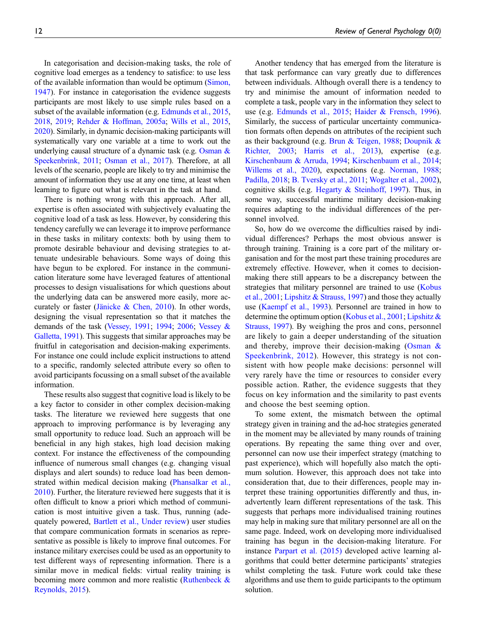In categorisation and decision-making tasks, the role of cognitive load emerges as a tendency to satisfice: to use less of the available information than would be optimum [\(Simon,](#page-17-4) [1947](#page-17-4)). For instance in categorisation the evidence suggests participants are most likely to use simple rules based on a subset of the available information (e.g. [Edmunds et al., 2015](#page-13-2), [2018,](#page-13-24) [2019;](#page-14-6) [Rehder & Hoffman, 2005a;](#page-17-23) [Wills et al., 2015](#page-18-2), [2020\)](#page-18-0). Similarly, in dynamic decision-making participants will systematically vary one variable at a time to work out the underlying causal structure of a dynamic task (e.g. Osman  $\&$ [Speekenbrink, 2011](#page-16-25); [Osman et al., 2017](#page-16-19)). Therefore, at all levels of the scenario, people are likely to try and minimise the amount of information they use at any one time, at least when learning to figure out what is relevant in the task at hand.

There is nothing wrong with this approach. After all, expertise is often associated with subjectively evaluating the cognitive load of a task as less. However, by considering this tendency carefully we can leverage it to improve performance in these tasks in military contexts: both by using them to promote desirable behaviour and devising strategies to attenuate undesirable behaviours. Some ways of doing this have begun to be explored. For instance in the communication literature some have leveraged features of attentional processes to design visualisations for which questions about the underlying data can be answered more easily, more ac-curately or faster [\(J](#page-14-15)ä[nicke & Chen, 2010](#page-14-15)). In other words, designing the visual representation so that it matches the demands of the task ([Vessey, 1991;](#page-18-17) [1994](#page-18-18); [2006](#page-18-19); [Vessey &](#page-18-20) [Galletta, 1991\)](#page-18-20). This suggests that similar approaches may be fruitful in categorisation and decision-making experiments. For instance one could include explicit instructions to attend to a specific, randomly selected attribute every so often to avoid participants focussing on a small subset of the available information.

These results also suggest that cognitive load is likely to be a key factor to consider in other complex decision-making tasks. The literature we reviewed here suggests that one approach to improving performance is by leveraging any small opportunity to reduce load. Such an approach will be beneficial in any high stakes, high load decision making context. For instance the effectiveness of the compounding influence of numerous small changes (e.g. changing visual displays and alert sounds) to reduce load has been demonstrated within medical decision making ([Phansalkar et al.,](#page-17-24) [2010](#page-17-24)). Further, the literature reviewed here suggests that it is often difficult to know a priori which method of communication is most intuitive given a task. Thus, running (adequately powered, [Bartlett et al., Under review\)](#page-12-11) user studies that compare communication formats in scenarios as representative as possible is likely to improve final outcomes. For instance military exercises could be used as an opportunity to test different ways of representing information. There is a similar move in medical fields: virtual reality training is becoming more common and more realistic [\(Ruthenbeck &](#page-17-25) [Reynolds, 2015](#page-17-25)).

Another tendency that has emerged from the literature is that task performance can vary greatly due to differences between individuals. Although overall there is a tendency to try and minimise the amount of information needed to complete a task, people vary in the information they select to use (e.g. [Edmunds et al., 2015](#page-13-2); [Haider & Frensch, 1996\)](#page-14-26). Similarly, the success of particular uncertainty communication formats often depends on attributes of the recipient such as their background (e.g. [Brun & Teigen, 1988;](#page-13-25) [Doupnik &](#page-13-26) [Richter, 2003;](#page-13-26) [Harris et al., 2013](#page-14-27)), expertise (e.g. [Kirschenbaum & Arruda, 1994](#page-15-13); [Kirschenbaum et al., 2014;](#page-15-12) [Willems et al., 2020](#page-18-28)), expectations (e.g. [Norman, 1988;](#page-16-16) [Padilla, 2018;](#page-17-15) [B. Tversky et al., 2011](#page-18-10); [Wogalter et al., 2002\)](#page-18-21), cognitive skills (e.g. [Hegarty & Steinhoff, 1997\)](#page-14-12). Thus, in some way, successful maritime military decision-making requires adapting to the individual differences of the personnel involved.

So, how do we overcome the difficulties raised by individual differences? Perhaps the most obvious answer is through training. Training is a core part of the military organisation and for the most part these training procedures are extremely effective. However, when it comes to decisionmaking there still appears to be a discrepancy between the strategies that military personnel are trained to use [\(Kobus](#page-15-0) [et al., 2001;](#page-15-0) [Lipshitz & Strauss, 1997](#page-15-18)) and those they actually use ([Kaempf et al., 1993\)](#page-15-24). Personnel are trained in how to determine the optimum option ([Kobus et al., 2001;](#page-15-0) Lipshitz  $\&$ [Strauss, 1997\)](#page-15-18). By weighing the pros and cons, personnel are likely to gain a deeper understanding of the situation and thereby, improve their decision-making (Osman  $\&$ [Speekenbrink, 2012\)](#page-17-26). However, this strategy is not consistent with how people make decisions: personnel will very rarely have the time or resources to consider every possible action. Rather, the evidence suggests that they focus on key information and the similarity to past events and choose the best seeming option.

To some extent, the mismatch between the optimal strategy given in training and the ad-hoc strategies generated in the moment may be alleviated by many rounds of training operations. By repeating the same thing over and over, personnel can now use their imperfect strategy (matching to past experience), which will hopefully also match the optimum solution. However, this approach does not take into consideration that, due to their differences, people may interpret these training opportunities differently and thus, inadvertently learn different representations of the task. This suggests that perhaps more individualised training routines may help in making sure that military personnel are all on the same page. Indeed, work on developing more individualised training has begun in the decision-making literature. For instance [Parpart et al. \(2015\)](#page-17-27) developed active learning algorithms that could better determine participants' strategies whilst completing the task. Future work could take these algorithms and use them to guide participants to the optimum solution.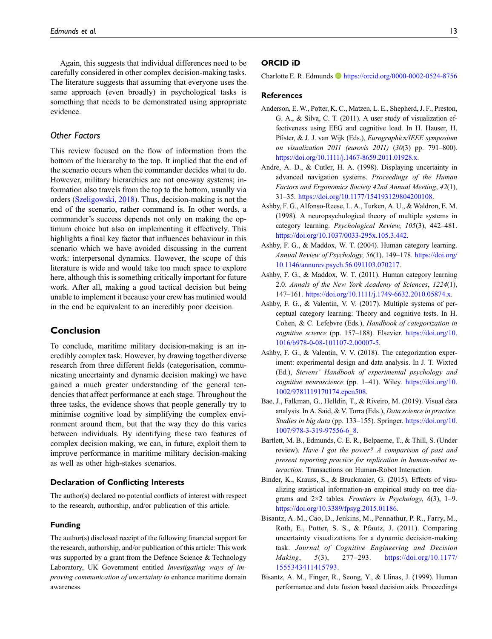Again, this suggests that individual differences need to be carefully considered in other complex decision-making tasks. The literature suggests that assuming that everyone uses the same approach (even broadly) in psychological tasks is something that needs to be demonstrated using appropriate evidence.

### Other Factors

This review focused on the flow of information from the bottom of the hierarchy to the top. It implied that the end of the scenario occurs when the commander decides what to do. However, military hierarchies are not one-way systems; information also travels from the top to the bottom, usually via orders ([Szeligowski, 2018](#page-18-23)). Thus, decision-making is not the end of the scenario, rather command is. In other words, a commander's success depends not only on making the optimum choice but also on implementing it effectively. This highlights a final key factor that influences behaviour in this scenario which we have avoided discussing in the current work: interpersonal dynamics. However, the scope of this literature is wide and would take too much space to explore here, although this is something critically important for future work. After all, making a good tactical decision but being unable to implement it because your crew has mutinied would in the end be equivalent to an incredibly poor decision.

#### Conclusion

To conclude, maritime military decision-making is an incredibly complex task. However, by drawing together diverse research from three different fields (categorisation, communicating uncertainty and dynamic decision making) we have gained a much greater understanding of the general tendencies that affect performance at each stage. Throughout the three tasks, the evidence shows that people generally try to minimise cognitive load by simplifying the complex environment around them, but that the way they do this varies between individuals. By identifying these two features of complex decision making, we can, in future, exploit them to improve performance in maritime military decision-making as well as other high-stakes scenarios.

#### Declaration of Conflicting Interests

The author(s) declared no potential conflicts of interest with respect to the research, authorship, and/or publication of this article.

#### Funding

The author(s) disclosed receipt of the following financial support for the research, authorship, and/or publication of this article: This work was supported by a grant from the Defence Science & Technology Laboratory, UK Government entitled Investigating ways of improving communication of uncertainty to enhance maritime domain awareness.

#### ORCID iD

Charlotte E. R. Edmunds <https://orcid.org/0000-0002-0524-8756>

#### **References**

- <span id="page-12-6"></span>Anderson, E. W., Potter, K. C., Matzen, L. E., Shepherd, J. F., Preston, G. A., & Silva, C. T. (2011). A user study of visualization effectiveness using EEG and cognitive load. In H. Hauser, H. Pfister, & J. J. van Wijk (Eds.), Eurographics/IEEE symposium on visualization 2011 (eurovis 2011) (30(3) pp. 791–800). [https://doi.org/10.1111/j.1467-8659.2011.01928.x.](https://doi.org/10.1111/j.1467-8659.2011.01928.x)
- <span id="page-12-5"></span>Andre, A. D., & Cutler, H. A. (1998). Displaying uncertainty in advanced navigation systems. Proceedings of the Human Factors and Ergonomics Society 42nd Annual Meeting, 42(1), 31–35. <https://doi.org/10.1177/154193129804200108>.
- <span id="page-12-1"></span>Ashby, F. G., Alfonso-Reese, L. A., Turken, A. U., & Waldron, E. M. (1998). A neuropsychological theory of multiple systems in category learning. Psychological Review, 105(3), 442–481. <https://doi.org/10.1037/0033-295x.105.3.442>.
- <span id="page-12-2"></span>Ashby, F. G., & Maddox, W. T. (2004). Human category learning. Annual Review of Psychology, 56(1), 149–178. [https://doi.org/](https://doi.org/10.1146/annurev.psych.56.091103.070217) [10.1146/annurev.psych.56.091103.070217.](https://doi.org/10.1146/annurev.psych.56.091103.070217)
- <span id="page-12-3"></span>Ashby, F. G., & Maddox, W. T. (2011). Human category learning 2.0. Annals of the New York Academy of Sciences, 1224(1), 147–161. [https://doi.org/10.1111/j.1749-6632.2010.05874.x.](https://doi.org/10.1111/j.1749-6632.2010.05874.x)
- <span id="page-12-4"></span>Ashby, F. G., & Valentin, V. V. (2017). Multiple systems of perceptual category learning: Theory and cognitive tests. In H. Cohen, & C. Lefebvre (Eds.), Handbook of categorization in cognitive science (pp. 157-188). Elsevier. [https://doi.org/10.](https://doi.org/10.1016/b978-0-08-101107-2.00007-5) [1016/b978-0-08-101107-2.00007-5.](https://doi.org/10.1016/b978-0-08-101107-2.00007-5)
- <span id="page-12-0"></span>Ashby, F. G., & Valentin, V. V. (2018). The categorization experiment: experimental design and data analysis. In J. T. Wixted (Ed.), Stevens' Handbook of experimental psychology and cognitive neuroscience (pp. 1–41). Wiley. [https://doi.org/10.](https://doi.org/10.1002/9781119170174.epcn508) [1002/9781119170174.epcn508.](https://doi.org/10.1002/9781119170174.epcn508)
- <span id="page-12-10"></span>Bae, J., Falkman, G., Helldin, T., & Riveiro, M. (2019). Visual data analysis. In A. Said, & V. Torra (Eds.), Data science in practice. Studies in big data (pp. 133-155). Springer. [https://doi.org/10.](https://doi.org/10.1007/978-3-319-97556-6_8) [1007/978-3-319-97556-6\\_8](https://doi.org/10.1007/978-3-319-97556-6_8).
- <span id="page-12-11"></span>Bartlett, M. B., Edmunds, C. E. R., Belpaeme, T., & Thill, S. (Under review). Have I got the power? A comparison of past and present reporting practice for replication in human-robot interaction. Transactions on Human-Robot Interaction.
- <span id="page-12-8"></span>Binder, K., Krauss, S., & Bruckmaier, G. (2015). Effects of visualizing statistical information-an empirical study on tree diagrams and  $2\times2$  tables. Frontiers in Psychology, 6(3), 1-9. [https://doi.org/10.3389/fpsyg.2015.01186.](https://doi.org/10.3389/fpsyg.2015.01186)
- <span id="page-12-7"></span>Bisantz, A. M., Cao, D., Jenkins, M., Pennathur, P. R., Farry, M., Roth, E., Potter, S. S., & Pfautz, J. (2011). Comparing uncertainty visualizations for a dynamic decision-making task. Journal of Cognitive Engineering and Decision Making, 5(3), 277–293. [https://doi.org/10.1177/](https://doi.org/10.1177/1555343411415793) [1555343411415793.](https://doi.org/10.1177/1555343411415793)
- <span id="page-12-9"></span>Bisantz, A. M., Finger, R., Seong, Y., & Llinas, J. (1999). Human performance and data fusion based decision aids. Proceedings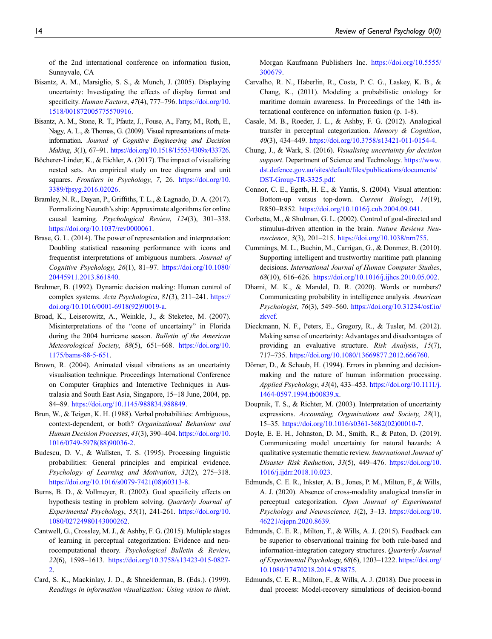of the 2nd international conference on information fusion, Sunnyvale, CA

- <span id="page-13-10"></span>Bisantz, A. M., Marsiglio, S. S., & Munch, J. (2005). Displaying uncertainty: Investigating the effects of display format and specificity. Human Factors, 47(4), 777-796. [https://doi.org/10.](https://doi.org/10.1518/001872005775570916) [1518/001872005775570916](https://doi.org/10.1518/001872005775570916).
- <span id="page-13-18"></span>Bisantz, A. M., Stone, R. T., Pfautz, J., Fouse, A., Farry, M., Roth, E., Nagy, A. L., & Thomas, G. (2009). Visual representations of metainformation. Journal of Cognitive Engineering and Decision Making, 3(1), 67-91. <https://doi.org/10.1518/155534309x433726>.
- <span id="page-13-11"></span>Böcherer-Linder, K., & Eichler, A. (2017). The impact of visualizing nested sets. An empirical study on tree diagrams and unit squares. Frontiers in Psychology, 7, 26. [https://doi.org/10.](https://doi.org/10.3389/fpsyg.2016.02026) [3389/fpsyg.2016.02026](https://doi.org/10.3389/fpsyg.2016.02026).
- <span id="page-13-23"></span>Bramley, N. R., Dayan, P., Griffiths, T. L., & Lagnado, D. A. (2017). Formalizing Neurath's ship: Approximate algorithms for online causal learning. Psychological Review, 124(3), 301–338. [https://doi.org/10.1037/rev0000061.](https://doi.org/10.1037/rev0000061)
- <span id="page-13-12"></span>Brase, G. L. (2014). The power of representation and interpretation: Doubling statistical reasoning performance with icons and frequentist interpretations of ambiguous numbers. Journal of Cognitive Psychology, 26(1), 81–97. [https://doi.org/10.1080/](https://doi.org/10.1080/20445911.2013.861840) [20445911.2013.861840.](https://doi.org/10.1080/20445911.2013.861840)
- <span id="page-13-20"></span>Brehmer, B. (1992). Dynamic decision making: Human control of complex systems. Acta Psychologica, 81(3), 211-241. [https://](https://doi.org/10.1016/0001-6918(92)90019-a) [doi.org/10.1016/0001-6918\(92\)90019-a](https://doi.org/10.1016/0001-6918(92)90019-a).
- <span id="page-13-14"></span>Broad, K., Leiserowitz, A., Weinkle, J., & Steketee, M. (2007). Misinterpretations of the "cone of uncertainty" in Florida during the 2004 hurricane season. Bulletin of the American Meteorological Society, 88(5), 651–668. [https://doi.org/10.](https://doi.org/10.1175/bams-88-5-651) [1175/bams-88-5-651](https://doi.org/10.1175/bams-88-5-651).
- <span id="page-13-13"></span>Brown, R. (2004). Animated visual vibrations as an uncertainty visualisation technique. Proceedings International Conference on Computer Graphics and Interactive Techniques in Australasia and South East Asia, Singapore, 15–18 June, 2004, pp. 84–89. <https://doi.org/10.1145/988834.988849>.
- <span id="page-13-25"></span>Brun, W., & Teigen, K. H. (1988). Verbal probabilities: Ambiguous, context-dependent, or both? Organizational Behaviour and Human Decision Processes, 41(3), 390-404. [https://doi.org/10.](https://doi.org/10.1016/0749-5978(88)90036-2) [1016/0749-5978\(88\)90036-2.](https://doi.org/10.1016/0749-5978(88)90036-2)
- <span id="page-13-6"></span>Budescu, D. V., & Wallsten, T. S. (1995). Processing linguistic probabilities: General principles and empirical evidence. Psychology of Learning and Motivation, 32(2), 275–318. [https://doi.org/10.1016/s0079-7421\(08\)60313-8.](https://doi.org/10.1016/s0079-7421(08)60313-8)
- <span id="page-13-22"></span>Burns, B. D., & Vollmeyer, R. (2002). Goal specificity effects on hypothesis testing in problem solving. Quarterly Journal of Experimental Psychology, 55(1), 241-261. [https://doi.org/10.](https://doi.org/10.1080/02724980143000262) [1080/02724980143000262.](https://doi.org/10.1080/02724980143000262)
- <span id="page-13-5"></span>Cantwell, G., Crossley, M. J., & Ashby, F. G. (2015). Multiple stages of learning in perceptual categorization: Evidence and neurocomputational theory. Psychological Bulletin & Review, 22(6), 1598–1613. [https://doi.org/10.3758/s13423-015-0827-](https://doi.org/10.3758/s13423-015-0827-2) [2.](https://doi.org/10.3758/s13423-015-0827-2)
- <span id="page-13-15"></span>Card, S. K., Mackinlay, J. D., & Shneiderman, B. (Eds.). (1999). Readings in information visualization: Using vision to think.

Morgan Kaufmann Publishers Inc. [https://doi.org/10.5555/](https://doi.org/10.5555/300679) [300679.](https://doi.org/10.5555/300679)

- <span id="page-13-0"></span>Carvalho, R. N., Haberlin, R., Costa, P. C. G., Laskey, K. B., & Chang, K., (2011). Modeling a probabilistic ontology for maritime domain awareness. In Proceedings of the 14th international conference on information fusion (p. 1-8).
- <span id="page-13-4"></span>Casale, M. B., Roeder, J. L., & Ashby, F. G. (2012). Analogical transfer in perceptual categorization. Memory & Cognition, 40(3), 434–449. [https://doi.org/10.3758/s13421-011-0154-4.](https://doi.org/10.3758/s13421-011-0154-4)
- <span id="page-13-9"></span>Chung, J., & Wark, S. (2016). Visualising uncertainty for decision support. Department of Science and Technology. [https://www.](https://www.dst.defence.gov.au/sites/default/files/publications/documents/DST-Group-TR-3325.pdf) [dst.defence.gov.au/sites/default/](https://www.dst.defence.gov.au/sites/default/files/publications/documents/DST-Group-TR-3325.pdf)files/publications/documents/ [DST-Group-TR-3325.pdf](https://www.dst.defence.gov.au/sites/default/files/publications/documents/DST-Group-TR-3325.pdf).
- <span id="page-13-17"></span>Connor, C. E., Egeth, H. E., & Yantis, S. (2004). Visual attention: Bottom-up versus top-down. Current Biology, 14(19), R850–R852. [https://doi.org/10.1016/j.cub.2004.09.041.](https://doi.org/10.1016/j.cub.2004.09.041)
- <span id="page-13-16"></span>Corbetta, M., & Shulman, G. L. (2002). Control of goal-directed and stimulus-driven attention in the brain. Nature Reviews Neuroscience, 3(3), 201–215. <https://doi.org/10.1038/nrn755>.
- <span id="page-13-1"></span>Cummings, M. L., Buchin, M., Carrigan, G., & Donmez, B. (2010). Supporting intelligent and trustworthy maritime path planning decisions. International Journal of Human Computer Studies, 68(10), 616–626. [https://doi.org/10.1016/j.ijhcs.2010.05.002.](https://doi.org/10.1016/j.ijhcs.2010.05.002)
- <span id="page-13-7"></span>Dhami, M. K., & Mandel, D. R. (2020). Words or numbers? Communicating probability in intelligence analysis. American Psychologist, 76(3), 549–560. [https://doi.org/10.31234/osf.io/](https://doi.org/10.31234/osf.io/zkvcf) [zkvcf](https://doi.org/10.31234/osf.io/zkvcf).
- <span id="page-13-8"></span>Dieckmann, N. F., Peters, E., Gregory, R., & Tusler, M. (2012). Making sense of uncertainty: Advantages and disadvantages of providing an evaluative structure. Risk Analysis, 15(7), 717–735. <https://doi.org/10.1080/13669877.2012.666760>.
- <span id="page-13-21"></span>Dörner, D., & Schaub, H. (1994). Errors in planning and decisionmaking and the nature of human information processing. Applied Psychology, 43(4), 433–453. [https://doi.org/10.1111/j.](https://doi.org/10.1111/j.1464-0597.1994.tb00839.x) [1464-0597.1994.tb00839.x.](https://doi.org/10.1111/j.1464-0597.1994.tb00839.x)
- <span id="page-13-26"></span>Doupnik, T. S., & Richter, M. (2003). Interpretation of uncertainty expressions. Accounting, Organizations and Society, 28(1), 15–35. [https://doi.org/10.1016/s0361-3682\(02\)00010-7.](https://doi.org/10.1016/s0361-3682(02)00010-7)
- <span id="page-13-19"></span>Doyle, E. E. H., Johnston, D. M., Smith, R., & Paton, D. (2019). Communicating model uncertainty for natural hazards: A qualitative systematic thematic review. International Journal of Disaster Risk Reduction, 33(5), 449–476. [https://doi.org/10.](https://doi.org/10.1016/j.ijdrr.2018.10.023) [1016/j.ijdrr.2018.10.023](https://doi.org/10.1016/j.ijdrr.2018.10.023).
- <span id="page-13-3"></span>Edmunds, C. E. R., Inkster, A. B., Jones, P. M., Milton, F., & Wills, A. J. (2020). Absence of cross-modality analogical transfer in perceptual categorization. Open Journal of Experimental Psychology and Neuroscience, 1(2), 3–13. [https://doi.org/10.](https://doi.org/10.46221/ojepn.2020.8639) [46221/ojepn.2020.8639.](https://doi.org/10.46221/ojepn.2020.8639)
- <span id="page-13-2"></span>Edmunds, C. E. R., Milton, F., & Wills, A. J. (2015). Feedback can be superior to observational training for both rule-based and information-integration category structures. Quarterly Journal of Experimental Psychology, 68(6), 1203–1222. [https://doi.org/](https://doi.org/10.1080/17470218.2014.978875) [10.1080/17470218.2014.978875](https://doi.org/10.1080/17470218.2014.978875).
- <span id="page-13-24"></span>Edmunds, C. E. R., Milton, F., & Wills, A. J. (2018). Due process in dual process: Model-recovery simulations of decision-bound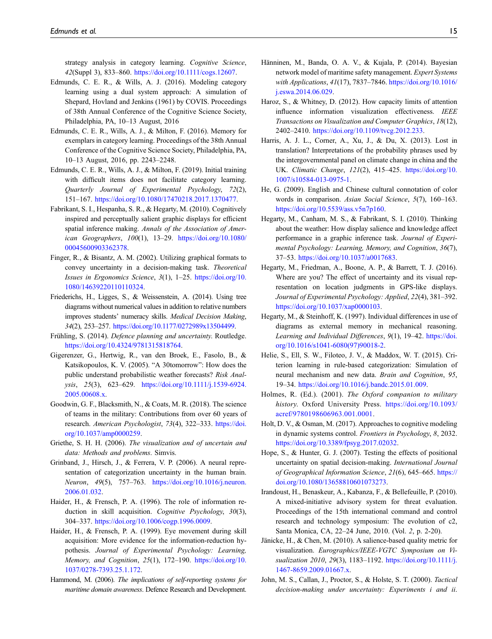strategy analysis in category learning. Cognitive Science, 42(Suppl 3), 833–860. [https://doi.org/10.1111/cogs.12607.](https://doi.org/10.1111/cogs.12607)

- <span id="page-14-4"></span>Edmunds, C. E. R., & Wills, A. J. (2016). Modeling category learning using a dual system approach: A simulation of Shepard, Hovland and Jenkins (1961) by COVIS. Proceedings of 38th Annual Conference of the Cognitive Science Society, Philadelphia, PA, 10–13 August, 2016
- <span id="page-14-5"></span>Edmunds, C. E. R., Wills, A. J., & Milton, F. (2016). Memory for exemplars in category learning. Proceedings of the 38th Annual Conference of the Cognitive Science Society, Philadelphia, PA, 10–13 August, 2016, pp. 2243–2248.
- <span id="page-14-6"></span>Edmunds, C. E. R., Wills, A. J., & Milton, F. (2019). Initial training with difficult items does not facilitate category learning. Quarterly Journal of Experimental Psychology, 72(2), 151–167. [https://doi.org/10.1080/17470218.2017.1370477.](https://doi.org/10.1080/17470218.2017.1370477)
- <span id="page-14-16"></span>Fabrikant, S. I., Hespanha, S. R., & Hegarty, M. (2010). Cognitively inspired and perceptually salient graphic displays for efficient spatial inference making. Annals of the Association of American Geographers, 100(1), 13–29. [https://doi.org/10.1080/](https://doi.org/10.1080/00045600903362378) [00045600903362378.](https://doi.org/10.1080/00045600903362378)
- <span id="page-14-3"></span>Finger, R., & Bisantz, A. M. (2002). Utilizing graphical formats to convey uncertainty in a decision-making task. Theoretical Issues in Ergonomics Science, 3(1), 1–25. [https://doi.org/10.](https://doi.org/10.1080/14639220110110324) [1080/14639220110110324.](https://doi.org/10.1080/14639220110110324)
- <span id="page-14-13"></span>Friederichs, H., Ligges, S., & Weissenstein, A. (2014). Using tree diagrams without numerical values in addition to relative numbers improves students' numeracy skills. Medical Decision Making, 34(2), 253–257. [https://doi.org/10.1177/0272989x13504499.](https://doi.org/10.1177/0272989x13504499)
- <span id="page-14-24"></span>Frühling, S. (2014). Defence planning and uncertainty. Routledge. [https://doi.org/10.4324/9781315818764.](https://doi.org/10.4324/9781315818764)
- <span id="page-14-14"></span>Gigerenzer, G., Hertwig, R., van den Broek, E., Fasolo, B., & Katsikopoulos, K. V. (2005). "A 30tomorrow": How does the public understand probabilistic weather forecasts? Risk Analysis, 25(3), 623–629. [https://doi.org/10.1111/j.1539-6924.](https://doi.org/10.1111/j.1539-6924.2005.00608.x) [2005.00608.x](https://doi.org/10.1111/j.1539-6924.2005.00608.x).
- <span id="page-14-0"></span>Goodwin, G. F., Blacksmith, N., & Coats, M. R. (2018). The science of teams in the military: Contributions from over 60 years of research. American Psychologist, 73(4), 322–333. [https://doi.](https://doi.org/10.1037/amp0000259) [org/10.1037/amp0000259](https://doi.org/10.1037/amp0000259).
- <span id="page-14-20"></span>Griethe, S. H. H. (2006). The visualization and of uncertain and data: Methods and problems. Simvis.
- <span id="page-14-9"></span>Grinband, J., Hirsch, J., & Ferrera, V. P. (2006). A neural representation of categorization uncertainty in the human brain. Neuron, 49(5), 757–763. [https://doi.org/10.1016/j.neuron.](https://doi.org/10.1016/j.neuron.2006.01.032) [2006.01.032](https://doi.org/10.1016/j.neuron.2006.01.032).
- <span id="page-14-26"></span>Haider, H., & Frensch, P. A. (1996). The role of information reduction in skill acquisition. Cognitive Psychology, 30(3), 304–337. [https://doi.org/10.1006/cogp.1996.0009.](https://doi.org/10.1006/cogp.1996.0009)
- <span id="page-14-18"></span>Haider, H., & Frensch, P. A. (1999). Eye movement during skill acquisition: More evidence for the information-reduction hypothesis. Journal of Experimental Psychology: Learning, Memory, and Cognition, 25(1), 172-190. [https://doi.org/10.](https://doi.org/10.1037/0278-7393.25.1.172) [1037/0278-7393.25.1.172](https://doi.org/10.1037/0278-7393.25.1.172).
- <span id="page-14-2"></span>Hammond, M. (2006). The implications of self-reporting systems for maritime domain awareness. Defence Research and Development.
- <span id="page-14-25"></span>Hänninen, M., Banda, O. A. V., & Kujala, P. (2014). Bayesian network model of maritime safety management. Expert Systems with Applications, 41(17), 7837–7846. [https://doi.org/10.1016/](https://doi.org/10.1016/j.eswa.2014.06.029) [j.eswa.2014.06.029.](https://doi.org/10.1016/j.eswa.2014.06.029)
- <span id="page-14-17"></span>Haroz, S., & Whitney, D. (2012). How capacity limits of attention influence information visualization effectiveness. IEEE Transactions on Visualization and Computer Graphics, 18(12), 2402–2410. [https://doi.org/10.1109/tvcg.2012.233.](https://doi.org/10.1109/tvcg.2012.233)
- <span id="page-14-27"></span>Harris, A. J. L., Corner, A., Xu, J., & Du, X. (2013). Lost in translation? Interpretations of the probability phrases used by the intergovernmental panel on climate change in china and the UK. Climatic Change, 121(2), 415–425. [https://doi.org/10.](https://doi.org/10.1007/s10584-013-0975-1) [1007/s10584-013-0975-1.](https://doi.org/10.1007/s10584-013-0975-1)
- <span id="page-14-19"></span>He, G. (2009). English and Chinese cultural connotation of color words in comparison. Asian Social Science, 5(7), 160–163. <https://doi.org/10.5539/ass.v5n7p160>.
- <span id="page-14-22"></span>Hegarty, M., Canham, M. S., & Fabrikant, S. I. (2010). Thinking about the weather: How display salience and knowledge affect performance in a graphic inference task. Journal of Experimental Psychology: Learning, Memory, and Cognition, 36(7), 37–53. <https://doi.org/10.1037/a0017683>.
- <span id="page-14-21"></span>Hegarty, M., Friedman, A., Boone, A. P., & Barrett, T. J. (2016). Where are you? The effect of uncertainty and its visual representation on location judgments in GPS-like displays. Journal of Experimental Psychology: Applied, 22(4), 381–392. <https://doi.org/10.1037/xap0000103>.
- <span id="page-14-12"></span>Hegarty, M., & Steinhoff, K. (1997). Individual differences in use of diagrams as external memory in mechanical reasoning. Learning and Individual Differences, 9(1), 19-42. [https://doi.](https://doi.org/10.1016/s1041-6080(97)90018-2) [org/10.1016/s1041-6080\(97\)90018-2.](https://doi.org/10.1016/s1041-6080(97)90018-2)
- <span id="page-14-8"></span>Helie, S., Ell, S. W., Filoteo, J. V., & Maddox, W. T. (2015). Criterion learning in rule-based categorization: Simulation of neural mechanism and new data. Brain and Cognition, 95, 19–34. [https://doi.org/10.1016/j.bandc.2015.01.009.](https://doi.org/10.1016/j.bandc.2015.01.009)
- <span id="page-14-1"></span>Holmes, R. (Ed.). (2001). The Oxford companion to military history. Oxford University Press. [https://doi.org/10.1093/](https://doi.org/10.1093/acref/9780198606963.001.0001) [acref/9780198606963.001.0001](https://doi.org/10.1093/acref/9780198606963.001.0001).
- <span id="page-14-23"></span>Holt, D. V., & Osman, M. (2017). Approaches to cognitive modeling in dynamic systems control. Frontiers in Psychology, 8, 2032. [https://doi.org/10.3389/fpsyg.2017.02032.](https://doi.org/10.3389/fpsyg.2017.02032)
- <span id="page-14-11"></span>Hope, S., & Hunter, G. J. (2007). Testing the effects of positional uncertainty on spatial decision-making. International Journal of Geographical Information Science, 21(6), 645–665. [https://](https://doi.org/10.1080/13658810601073273) [doi.org/10.1080/13658810601073273.](https://doi.org/10.1080/13658810601073273)
- <span id="page-14-7"></span>Irandoust, H., Benaskeur, A., Kabanza, F., & Bellefeuille, P. (2010). A mixed-initiative advisory system for threat evaluation. Proceedings of the 15th international command and control research and technology symposium: The evolution of c2, Santa Monica, CA, 22–24 June, 2010. (Vol. 2, p. 2-20).
- <span id="page-14-15"></span>Jänicke, H., & Chen, M. (2010). A salience-based quality metric for visualization. Eurographics/IEEE-VGTC Symposium on Visualization 2010, 29(3), 1183-1192. [https://doi.org/10.1111/j.](https://doi.org/10.1111/j.1467-8659.2009.01667.x) [1467-8659.2009.01667.x.](https://doi.org/10.1111/j.1467-8659.2009.01667.x)
- <span id="page-14-10"></span>John, M. S., Callan, J., Proctor, S., & Holste, S. T. (2000). Tactical decision-making under uncertainty: Experiments i and ii.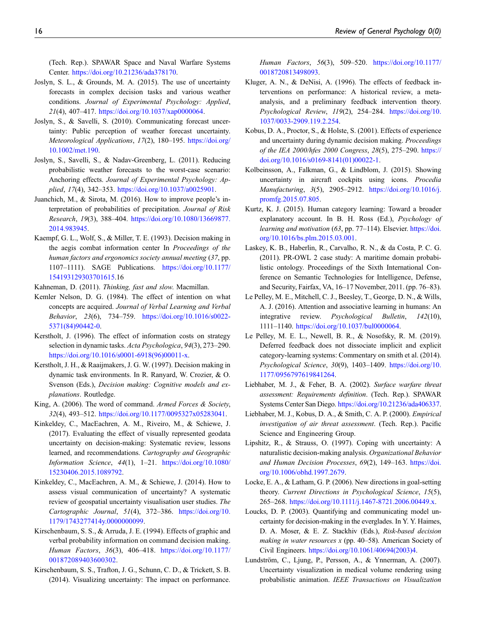(Tech. Rep.). SPAWAR Space and Naval Warfare Systems Center. <https://doi.org/10.21236/ada378170>.

- <span id="page-15-26"></span>Joslyn, S. L., & Grounds, M. A. (2015). The use of uncertainty forecasts in complex decision tasks and various weather conditions. Journal of Experimental Psychology: Applied, 21(4), 407–417. <https://doi.org/10.1037/xap0000064>.
- <span id="page-15-14"></span>Joslyn, S., & Savelli, S. (2010). Communicating forecast uncertainty: Public perception of weather forecast uncertainty. Meteorological Applications, 17(2), 180–195. [https://doi.org/](https://doi.org/10.1002/met.190) [10.1002/met.190.](https://doi.org/10.1002/met.190)
- <span id="page-15-7"></span>Joslyn, S., Savelli, S., & Nadav-Greenberg, L. (2011). Reducing probabilistic weather forecasts to the worst-case scenario: Anchoring effects. Journal of Experimental Psychology: Applied, 17(4), 342–353. <https://doi.org/10.1037/a0025901>.
- <span id="page-15-15"></span>Juanchich, M., & Sirota, M. (2016). How to improve people's interpretation of probabilities of precipitation. Journal of Risk Research, 19(3), 388-404. [https://doi.org/10.1080/13669877.](https://doi.org/10.1080/13669877.2014.983945) [2014.983945](https://doi.org/10.1080/13669877.2014.983945).
- <span id="page-15-24"></span>Kaempf, G. L., Wolf, S., & Miller, T. E. (1993). Decision making in the aegis combat information center In Proceedings of the human factors and ergonomics society annual meeting (37, pp. 1107–1111). SAGE Publications. [https://doi.org/10.1177/](https://doi.org/10.1177/154193129303701615) [154193129303701615.](https://doi.org/10.1177/154193129303701615)16
- <span id="page-15-6"></span><span id="page-15-3"></span>Kahneman, D. (2011). Thinking, fast and slow. Macmillan.
- Kemler Nelson, D. G. (1984). The effect of intention on what concepts are acquired. Journal of Verbal Learning and Verbal Behavior, 23(6), 734–759. [https://doi.org/10.1016/s0022-](https://doi.org/10.1016/s0022-5371(84)90442-0) [5371\(84\)90442-0.](https://doi.org/10.1016/s0022-5371(84)90442-0)
- <span id="page-15-20"></span>Kerstholt, J. (1996). The effect of information costs on strategy selection in dynamic tasks. Acta Psychologica, 94(3), 273–290. [https://doi.org/10.1016/s0001-6918\(96\)00011-x](https://doi.org/10.1016/s0001-6918(96)00011-x).
- <span id="page-15-21"></span>Kerstholt, J. H., & Raaijmakers, J. G. W. (1997). Decision making in dynamic task environments. In R. Ranyard, W. Crozier, & O. Svenson (Eds.), Decision making: Cognitive models and explanations. Routledge.
- <span id="page-15-8"></span>King, A. (2006). The word of command. Armed Forces & Society, 32(4), 493–512. <https://doi.org/10.1177/0095327x05283041>.
- <span id="page-15-10"></span>Kinkeldey, C., MacEachren, A. M., Riveiro, M., & Schiewe, J. (2017). Evaluating the effect of visually represented geodata uncertainty on decision-making: Systematic review, lessons learned, and recommendations. Cartography and Geographic Information Science, 44(1), 1–21. [https://doi.org/10.1080/](https://doi.org/10.1080/15230406.2015.1089792) [15230406.2015.1089792.](https://doi.org/10.1080/15230406.2015.1089792)
- <span id="page-15-9"></span>Kinkeldey, C., MacEachren, A. M., & Schiewe, J. (2014). How to assess visual communication of uncertainty? A systematic review of geospatial uncertainty visualisation user studies. The Cartographic Journal, 51(4), 372–386. [https://doi.org/10.](https://doi.org/10.1179/1743277414y.0000000099) [1179/1743277414y.0000000099.](https://doi.org/10.1179/1743277414y.0000000099)
- <span id="page-15-13"></span>Kirschenbaum, S. S., & Arruda, J. E. (1994). Effects of graphic and verbal probability information on command decision making. Human Factors, 36(3), 406-418. [https://doi.org/10.1177/](https://doi.org/10.1177/001872089403600302) [001872089403600302](https://doi.org/10.1177/001872089403600302).
- <span id="page-15-12"></span>Kirschenbaum, S. S., Trafton, J. G., Schunn, C. D., & Trickett, S. B. (2014). Visualizing uncertainty: The impact on performance.

Human Factors, 56(3), 509–520. [https://doi.org/10.1177/](https://doi.org/10.1177/0018720813498093) [0018720813498093](https://doi.org/10.1177/0018720813498093).

- <span id="page-15-22"></span>Kluger, A. N., & DeNisi, A. (1996). The effects of feedback interventions on performance: A historical review, a metaanalysis, and a preliminary feedback intervention theory. Psychological Review, 119(2), 254–284. [https://doi.org/10.](https://doi.org/10.1037/0033-2909.119.2.254) [1037/0033-2909.119.2.254.](https://doi.org/10.1037/0033-2909.119.2.254)
- <span id="page-15-0"></span>Kobus, D. A., Proctor, S., & Holste, S. (2001). Effects of experience and uncertainty during dynamic decision making. Proceedings of the IEA 2000/hfes 2000 Congress, 28(5), 275–290. [https://](https://doi.org/10.1016/s0169-8141(01)00022-1) [doi.org/10.1016/s0169-8141\(01\)00022-1.](https://doi.org/10.1016/s0169-8141(01)00022-1)
- <span id="page-15-11"></span>Kolbeinsson, A., Falkman, G., & Lindblom, J. (2015). Showing uncertainty in aircraft cockpits using icons. Procedia Manufacturing, 3(5), 2905–2912. [https://doi.org/10.1016/j.](https://doi.org/10.1016/j.promfg.2015.07.805) [promfg.2015.07.805.](https://doi.org/10.1016/j.promfg.2015.07.805)
- <span id="page-15-1"></span>Kurtz, K. J. (2015). Human category learning: Toward a broader explanatory account. In B. H. Ross (Ed.), Psychology of learning and motivation (63, pp. 77-114). Elsevier. [https://doi.](https://doi.org/10.1016/bs.plm.2015.03.001) [org/10.1016/bs.plm.2015.03.001](https://doi.org/10.1016/bs.plm.2015.03.001).
- <span id="page-15-25"></span>Laskey, K. B., Haberlin, R., Carvalho, R. N., & da Costa, P. C. G. (2011). PR-OWL 2 case study: A maritime domain probabilistic ontology. Proceedings of the Sixth International Conference on Semantic Technologies for Intelligence, Defense, and Security, Fairfax, VA, 16–17 November, 2011. (pp. 76–83).
- <span id="page-15-5"></span>Le Pelley, M. E., Mitchell, C. J., Beesley, T., George, D. N., & Wills, A. J. (2016). Attention and associative learning in humans: An integrative review. Psychological Bulletin, 142(10), 1111–1140. [https://doi.org/10.1037/bul0000064.](https://doi.org/10.1037/bul0000064)
- <span id="page-15-23"></span>Le Pelley, M. E. L., Newell, B. R., & Nosofsky, R. M. (2019). Deferred feedback does not dissociate implicit and explicit category-learning systems: Commentary on smith et al. (2014). Psychological Science, 30(9), 1403–1409. [https://doi.org/10.](https://doi.org/10.1177/0956797619841264) [1177/0956797619841264](https://doi.org/10.1177/0956797619841264).
- <span id="page-15-2"></span>Liebhaber, M. J., & Feher, B. A. (2002). Surface warfare threat assessment: Requirements definition. (Tech. Rep.). SPAWAR Systems Center San Diego. [https://doi.org/10.21236/ada406337.](https://doi.org/10.21236/ada406337)
- <span id="page-15-4"></span>Liebhaber, M. J., Kobus, D. A., & Smith, C. A. P. (2000). Empirical investigation of air threat assessment. (Tech. Rep.). Pacific Science and Engineering Group.
- <span id="page-15-18"></span>Lipshitz, R., & Strauss, O. (1997). Coping with uncertainty: A naturalistic decision-making analysis. Organizational Behavior and Human Decision Processes, 69(2), 149–163. [https://doi.](https://doi.org/10.1006/obhd.1997.2679) [org/10.1006/obhd.1997.2679.](https://doi.org/10.1006/obhd.1997.2679)
- <span id="page-15-19"></span>Locke, E. A., & Latham, G. P. (2006). New directions in goal-setting theory. Current Directions in Psychological Science, 15(5), 265–268. <https://doi.org/10.1111/j.1467-8721.2006.00449.x>.
- <span id="page-15-17"></span>Loucks, D. P. (2003). Quantifying and communicating model uncertainty for decision-making in the everglades. In Y. Y. Haimes, D. A. Moser, & E. Z. Stackhiv (Eds.), Risk-based decision making in water resources  $x$  (pp. 40–58). American Society of Civil Engineers. [https://doi.org/10.1061/40694\(2003\)4](https://doi.org/10.1061/40694(2003)4).
- <span id="page-15-16"></span>Lundström, C., Ljung, P., Persson, A., & Ynnerman, A. (2007). Uncertainty visualization in medical volume rendering using probabilistic animation. IEEE Transactions on Visualization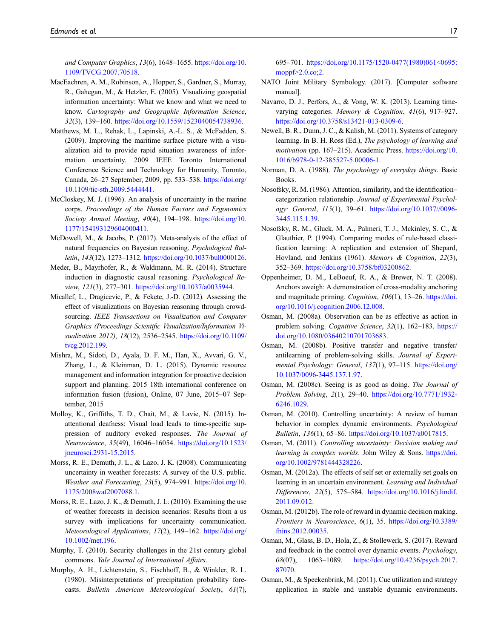and Computer Graphics, 13(6), 1648–1655. [https://doi.org/10.](https://doi.org/10.1109/TVCG.2007.70518) [1109/TVCG.2007.70518.](https://doi.org/10.1109/TVCG.2007.70518)

- <span id="page-16-14"></span>MacEachren, A. M., Robinson, A., Hopper, S., Gardner, S., Murray, R., Gahegan, M., & Hetzler, E. (2005). Visualizing geospatial information uncertainty: What we know and what we need to know. Cartography and Geographic Information Science, 32(3), 139–160. <https://doi.org/10.1559/1523040054738936>.
- <span id="page-16-1"></span>Matthews, M. L., Rehak, L., Lapinski, A.-L. S., & McFadden, S. (2009). Improving the maritime surface picture with a visualization aid to provide rapid situation awareness of information uncertainty. 2009 IEEE Toronto International Conference Science and Technology for Humanity, Toronto, Canada, 26–27 September, 2009, pp. 533–538. [https://doi.org/](https://doi.org/10.1109/tic-sth.2009.5444441) [10.1109/tic-sth.2009.5444441.](https://doi.org/10.1109/tic-sth.2009.5444441)
- <span id="page-16-6"></span>McCloskey, M. J. (1996). An analysis of uncertainty in the marine corps. Proceedings of the Human Factors and Ergonomics Society Annual Meeting, 40(4), 194–198. [https://doi.org/10.](https://doi.org/10.1177/154193129604000411) [1177/154193129604000411](https://doi.org/10.1177/154193129604000411).
- <span id="page-16-8"></span>McDowell, M., & Jacobs, P. (2017). Meta-analysis of the effect of natural frequencies on Bayesian reasoning. Psychological Bulletin, 143(12), 1273–1312. <https://doi.org/10.1037/bul0000126>.
- <span id="page-16-27"></span>Meder, B., Mayrhofer, R., & Waldmann, M. R. (2014). Structure induction in diagnostic causal reasoning. Psychological Review, 121(3), 277–301. <https://doi.org/10.1037/a0035944>.
- <span id="page-16-10"></span>Micallef, L., Dragicevic, P., & Fekete, J.-D. (2012). Assessing the effect of visualizations on Bayesian reasoning through crowdsourcing. IEEE Transactions on Visualization and Computer Graphics (Proceedings Scientific Visualization/Information Visualization 2012), 18(12), 2536-2545. [https://doi.org/10.1109/](https://doi.org/10.1109/tvcg.2012.199) [tvcg.2012.199.](https://doi.org/10.1109/tvcg.2012.199)
- <span id="page-16-4"></span>Mishra, M., Sidoti, D., Ayala, D. F. M., Han, X., Avvari, G. V., Zhang, L., & Kleinman, D. L. (2015). Dynamic resource management and information integration for proactive decision support and planning. 2015 18th international conference on information fusion (fusion), Online, 07 June, 2015–07 September, 2015
- <span id="page-16-9"></span>Molloy, K., Griffiths, T. D., Chait, M., & Lavie, N. (2015). Inattentional deafness: Visual load leads to time-specific suppression of auditory evoked responses. The Journal of Neuroscience, 35(49), 16046–16054. [https://doi.org/10.1523/](https://doi.org/10.1523/jneurosci.2931-15.2015) [jneurosci.2931-15.2015](https://doi.org/10.1523/jneurosci.2931-15.2015).
- <span id="page-16-11"></span>Morss, R. E., Demuth, J. L., & Lazo, J. K. (2008). Communicating uncertainty in weather forecasts: A survey of the U.S. public. Weather and Forecasting, 23(5), 974–991. [https://doi.org/10.](https://doi.org/10.1175/2008waf2007088.1) [1175/2008waf2007088.1](https://doi.org/10.1175/2008waf2007088.1).
- <span id="page-16-12"></span>Morss, R. E., Lazo, J. K., & Demuth, J. L. (2010). Examining the use of weather forecasts in decision scenarios: Results from a us survey with implications for uncertainty communication. Meteorological Applications, 17(2), 149–162. [https://doi.org/](https://doi.org/10.1002/met.196) [10.1002/met.196](https://doi.org/10.1002/met.196).
- <span id="page-16-26"></span>Murphy, T. (2010). Security challenges in the 21st century global commons. Yale Journal of International Affairs.
- <span id="page-16-13"></span>Murphy, A. H., Lichtenstein, S., Fischhoff, B., & Winkler, R. L. (1980). Misinterpretations of precipitation probability forecasts. Bulletin American Meteorological Society, 61(7),

695–701. [https://doi.org/10.1175/1520-0477\(1980\)061<0695:](https://doi.org/10.1175/1520-0477(1980)061<0695:moppf>2.0.co;2) [moppf>2.0.co;2](https://doi.org/10.1175/1520-0477(1980)061<0695:moppf>2.0.co;2).

- <span id="page-16-0"></span>NATO Joint Military Symbology. (2017). [Computer software manual].
- <span id="page-16-7"></span>Navarro, D. J., Perfors, A., & Vong, W. K. (2013). Learning timevarying categories. Memory & Cognition, 41(6), 917–927. [https://doi.org/10.3758/s13421-013-0309-6.](https://doi.org/10.3758/s13421-013-0309-6)
- <span id="page-16-3"></span>Newell, B. R., Dunn, J. C., & Kalish, M. (2011). Systems of category learning. In B. H. Ross (Ed.), The psychology of learning and motivation (pp. 167-215). Academic Press. [https://doi.org/10.](https://doi.org/10.1016/b978-0-12-385527-5.00006-1) [1016/b978-0-12-385527-5.00006-1.](https://doi.org/10.1016/b978-0-12-385527-5.00006-1)
- <span id="page-16-16"></span>Norman, D. A. (1988). The psychology of everyday things. Basic Books.
- <span id="page-16-2"></span>Nosofsky, R. M. (1986). Attention, similarity, and the identification– categorization relationship. Journal of Experimental Psychology: General, 115(1), 39–61. [https://doi.org/10.1037//0096-](https://doi.org/10.1037//0096-3445.115.1.39) [3445.115.1.39](https://doi.org/10.1037//0096-3445.115.1.39).
- <span id="page-16-5"></span>Nosofsky, R. M., Gluck, M. A., Palmeri, T. J., Mckinley, S. C., & Glauthier, P. (1994). Comparing modes of rule-based classification learning: A replication and extension of Shepard, Hovland, and Jenkins (1961). Memory & Cognition, 22(3), 352–369. <https://doi.org/10.3758/bf03200862>.
- <span id="page-16-15"></span>Oppenheimer, D. M., LeBoeuf, R. A., & Brewer, N. T. (2008). Anchors aweigh: A demonstration of cross-modality anchoring and magnitude priming. Cognition, 106(1), 13–26. [https://doi.](https://doi.org/10.1016/j.cognition.2006.12.008) [org/10.1016/j.cognition.2006.12.008](https://doi.org/10.1016/j.cognition.2006.12.008).
- <span id="page-16-20"></span>Osman, M. (2008a). Observation can be as effective as action in problem solving. Cognitive Science, 32(1), 162-183. [https://](https://doi.org/10.1080/03640210701703683) [doi.org/10.1080/03640210701703683.](https://doi.org/10.1080/03640210701703683)
- <span id="page-16-22"></span>Osman, M. (2008b). Positive transfer and negative transfer/ antilearning of problem-solving skills. Journal of Experimental Psychology: General, 137(1), 97-115. [https://doi.org/](https://doi.org/10.1037/0096-3445.137.1.97) [10.1037/0096-3445.137.1.97](https://doi.org/10.1037/0096-3445.137.1.97).
- <span id="page-16-23"></span>Osman, M. (2008c). Seeing is as good as doing. The Journal of Problem Solving, 2(1), 29–40. [https://doi.org/10.7771/1932-](https://doi.org/10.7771/1932-6246.1029) [6246.1029](https://doi.org/10.7771/1932-6246.1029).
- <span id="page-16-17"></span>Osman, M. (2010). Controlling uncertainty: A review of human behavior in complex dynamic environments. Psychological Bulletin, 136(1), 65–86. <https://doi.org/10.1037/a0017815>.
- <span id="page-16-18"></span>Osman, M. (2011). Controlling uncertainty: Decision making and learning in complex worlds. John Wiley & Sons. [https://doi.](https://doi.org/10.1002/9781444328226) [org/10.1002/9781444328226](https://doi.org/10.1002/9781444328226).
- <span id="page-16-24"></span>Osman, M. (2012a). The effects of self set or externally set goals on learning in an uncertain environment. Learning and Individual Differences, 22(5), 575–584. [https://doi.org/10.1016/j.lindif.](https://doi.org/10.1016/j.lindif.2011.09.012) [2011.09.012.](https://doi.org/10.1016/j.lindif.2011.09.012)
- <span id="page-16-21"></span>Osman, M. (2012b). The role of reward in dynamic decision making. Frontiers in Neuroscience, 6(1), 35. [https://doi.org/10.3389/](https://doi.org/10.3389/fnins.2012.00035) [fnins.2012.00035.](https://doi.org/10.3389/fnins.2012.00035)
- <span id="page-16-19"></span>Osman, M., Glass, B. D., Hola, Z., & Stollewerk, S. (2017). Reward and feedback in the control over dynamic events. Psychology, 08(07), 1063-1089. [https://doi.org/10.4236/psych.2017.](https://doi.org/10.4236/psych.2017.87070) [87070.](https://doi.org/10.4236/psych.2017.87070)
- <span id="page-16-25"></span>Osman, M., & Speekenbrink, M. (2011). Cue utilization and strategy application in stable and unstable dynamic environments.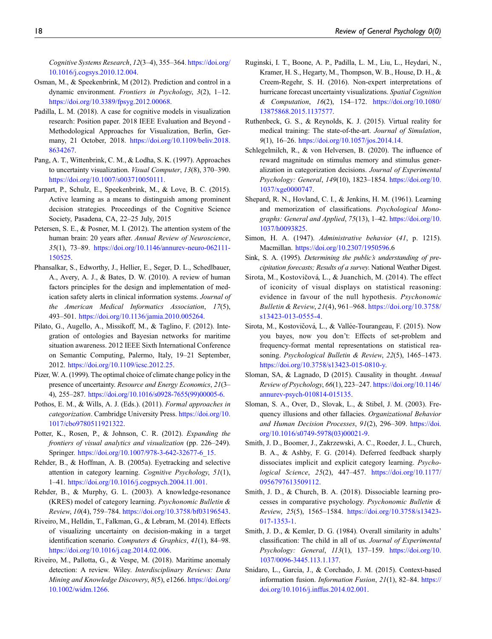Cognitive Systems Research, 12(3–4), 355–364. [https://doi.org/](https://doi.org/10.1016/j.cogsys.2010.12.004) [10.1016/j.cogsys.2010.12.004.](https://doi.org/10.1016/j.cogsys.2010.12.004)

- <span id="page-17-26"></span>Osman, M., & Speekenbrink, M (2012). Prediction and control in a dynamic environment. Frontiers in Psychology, 3(2), 1–12. [https://doi.org/10.3389/fpsyg.2012.00068.](https://doi.org/10.3389/fpsyg.2012.00068)
- <span id="page-17-15"></span>Padilla, L. M. (2018). A case for cognitive models in visualization research: Position paper. 2018 IEEE Evaluation and Beyond - Methodological Approaches for Visualization, Berlin, Germany, 21 October, 2018. [https://doi.org/10.1109/beliv.2018.](https://doi.org/10.1109/beliv.2018.8634267) [8634267](https://doi.org/10.1109/beliv.2018.8634267).
- <span id="page-17-17"></span>Pang, A. T., Wittenbrink, C. M., & Lodha, S. K. (1997). Approaches to uncertainty visualization. *Visual Computer*, 13(8), 370–390. [https://doi.org/10.1007/s003710050111.](https://doi.org/10.1007/s003710050111)
- <span id="page-17-27"></span>Parpart, P., Schulz, E., Speekenbrink, M., & Love, B. C. (2015). Active learning as a means to distinguish among prominent decision strategies. Proceedings of the Cognitive Science Society, Pasadena, CA, 22–25 July, 2015
- <span id="page-17-16"></span>Petersen, S. E., & Posner, M. I. (2012). The attention system of the human brain: 20 years after. Annual Review of Neuroscience, 35(1), 73–89. [https://doi.org/10.1146/annurev-neuro-062111-](https://doi.org/10.1146/annurev-neuro-062111-150525) [150525.](https://doi.org/10.1146/annurev-neuro-062111-150525)
- <span id="page-17-24"></span>Phansalkar, S., Edworthy, J., Hellier, E., Seger, D. L., Schedlbauer, A., Avery, A. J., & Bates, D. W. (2010). A review of human factors principles for the design and implementation of medication safety alerts in clinical information systems. Journal of the American Medical Informatics Association, 17(5), 493–501. <https://doi.org/10.1136/jamia.2010.005264>.
- <span id="page-17-21"></span>Pilato, G., Augello, A., Missikoff, M., & Taglino, F. (2012). Integration of ontologies and Bayesian networks for maritime situation awareness. 2012 IEEE Sixth International Conference on Semantic Computing, Palermo, Italy, 19–21 September, 2012. [https://doi.org/10.1109/icsc.2012.25.](https://doi.org/10.1109/icsc.2012.25)
- <span id="page-17-9"></span>Pizer, W. A. (1999). The optimal choice of climate change policy in the presence of uncertainty. Resource and Energy Economics, 21(3– 4), 255–287. [https://doi.org/10.1016/s0928-7655\(99\)00005-6.](https://doi.org/10.1016/s0928-7655(99)00005-6)
- <span id="page-17-1"></span>Pothos, E. M., & Wills, A. J. (Eds.). (2011). Formal approaches in categorization. Cambridge University Press. [https://doi.org/10.](https://doi.org/10.1017/cbo9780511921322) [1017/cbo9780511921322](https://doi.org/10.1017/cbo9780511921322).
- <span id="page-17-6"></span>Potter, K., Rosen, P., & Johnson, C. R. (2012). Expanding the frontiers of visual analytics and visualization (pp. 226–249). Springer. [https://doi.org/10.1007/978-3-642-32677-6\\_15.](https://doi.org/10.1007/978-3-642-32677-6_15)
- <span id="page-17-23"></span>Rehder, B., & Hoffman, A. B. (2005a). Eyetracking and selective attention in category learning. Cognitive Psychology, 51(1), 1–41. <https://doi.org/10.1016/j.cogpsych.2004.11.001>.
- <span id="page-17-8"></span>Rehder, B., & Murphy, G. L. (2003). A knowledge-resonance (KRES) model of category learning. Psychonomic Bulletin & Review, 10(4), 759–784. <https://doi.org/10.3758/bf03196543>.
- <span id="page-17-18"></span>Riveiro, M., Helldin, T., Falkman, G., & Lebram, M. (2014). Effects of visualizing uncertainty on decision-making in a target identification scenario. Computers & Graphics, 41(1), 84–98. <https://doi.org/10.1016/j.cag.2014.02.006>.
- <span id="page-17-0"></span>Riveiro, M., Pallotta, G., & Vespe, M. (2018). Maritime anomaly detection: A review. Wiley. Interdisciplinary Reviews: Data Mining and Knowledge Discovery, 8(5), e1266. [https://doi.org/](https://doi.org/10.1002/widm.1266) [10.1002/widm.1266](https://doi.org/10.1002/widm.1266).
- <span id="page-17-14"></span>Ruginski, I. T., Boone, A. P., Padilla, L. M., Liu, L., Heydari, N., Kramer, H. S., Hegarty, M., Thompson, W. B., House, D. H., & Creem-Regehr, S. H. (2016). Non-expert interpretations of hurricane forecast uncertainty visualizations. Spatial Cognition & Computation, 16(2), 154–172. [https://doi.org/10.1080/](https://doi.org/10.1080/13875868.2015.1137577) [13875868.2015.1137577.](https://doi.org/10.1080/13875868.2015.1137577)
- <span id="page-17-25"></span>Ruthenbeck, G. S., & Reynolds, K. J. (2015). Virtual reality for medical training: The state-of-the-art. Journal of Simulation, 9(1), 16–26. [https://doi.org/10.1057/jos.2014.14.](https://doi.org/10.1057/jos.2014.14)
- <span id="page-17-7"></span>Schlegelmilch, R., & von Helversen, B. (2020). The influence of reward magnitude on stimulus memory and stimulus generalization in categorization decisions. Journal of Experimental Psychology: General, 149(10), 1823–1854. [https://doi.org/10.](https://doi.org/10.1037/xge0000747) [1037/xge0000747](https://doi.org/10.1037/xge0000747).
- <span id="page-17-5"></span>Shepard, R. N., Hovland, C. I., & Jenkins, H. M. (1961). Learning and memorization of classifications. Psychological Monographs: General and Applied, 75(13), 1–42. [https://doi.org/10.](https://doi.org/10.1037/h0093825) [1037/h0093825.](https://doi.org/10.1037/h0093825)
- <span id="page-17-4"></span>Simon, H. A. (1947). Administrative behavior (41, p. 1215). Macmillan. [https://doi.org/10.2307/1950596.](https://doi.org/10.2307/1950596)6
- <span id="page-17-13"></span>Sink, S. A. (1995). Determining the public's understanding of precipitation forecasts; Results of a survey. National Weather Digest.
- <span id="page-17-10"></span>Sirota, M., Kostovičová, L., & Juanchich, M. (2014). The effect of iconicity of visual displays on statistical reasoning: evidence in favour of the null hypothesis. Psychonomic Bulletin & Review, 21(4), 961–968. [https://doi.org/10.3758/](https://doi.org/10.3758/s13423-013-0555-4) [s13423-013-0555-4](https://doi.org/10.3758/s13423-013-0555-4).
- <span id="page-17-11"></span>Sirota, M., Kostovičová, L., & Vallée-Tourangeau, F. (2015). Now you bayes, now you don't: Effects of set-problem and frequency-format mental representations on statistical reasoning. Psychological Bulletin & Review, 22(5), 1465–1473. [https://doi.org/10.3758/s13423-015-0810-y.](https://doi.org/10.3758/s13423-015-0810-y)
- <span id="page-17-20"></span>Sloman, SA, & Lagnado, D (2015). Causality in thought. Annual Review of Psychology, 66(1), 223–247. [https://doi.org/10.1146/](https://doi.org/10.1146/annurev-psych-010814-015135) [annurev-psych-010814-015135.](https://doi.org/10.1146/annurev-psych-010814-015135)
- <span id="page-17-12"></span>Sloman, S. A., Over, D., Slovak, L., & Stibel, J. M. (2003). Frequency illusions and other fallacies. Organizational Behavior and Human Decision Processes, 91(2), 296–309. [https://doi.](https://doi.org/10.1016/s0749-5978(03)00021-9) [org/10.1016/s0749-5978\(03\)00021-9](https://doi.org/10.1016/s0749-5978(03)00021-9).
- <span id="page-17-19"></span>Smith, J. D., Boomer, J., Zakrzewski, A. C., Roeder, J. L., Church, B. A., & Ashby, F. G. (2014). Deferred feedback sharply dissociates implicit and explicit category learning. Psychological Science, 25(2), 447–457. [https://doi.org/10.1177/](https://doi.org/10.1177/0956797613509112) [0956797613509112](https://doi.org/10.1177/0956797613509112).
- <span id="page-17-3"></span>Smith, J. D., & Church, B. A. (2018). Dissociable learning processes in comparative psychology. Psychonomic Bulletin & Review, 25(5), 1565–1584. [https://doi.org/10.3758/s13423-](https://doi.org/10.3758/s13423-017-1353-1) [017-1353-1](https://doi.org/10.3758/s13423-017-1353-1).
- <span id="page-17-2"></span>Smith, J. D., & Kemler, D. G. (1984). Overall similarity in adults' classification: The child in all of us. Journal of Experimental Psychology: General, 113(1), 137–159. [https://doi.org/10.](https://doi.org/10.1037/0096-3445.113.1.137) [1037/0096-3445.113.1.137.](https://doi.org/10.1037/0096-3445.113.1.137)
- <span id="page-17-22"></span>Snidaro, L., Garcia, J., & Corchado, J. M. (2015). Context-based information fusion. Information Fusion, 21(1), 82–84. [https://](https://doi.org/10.1016/j.inffus.2014.02.001) [doi.org/10.1016/j.inffus.2014.02.001](https://doi.org/10.1016/j.inffus.2014.02.001).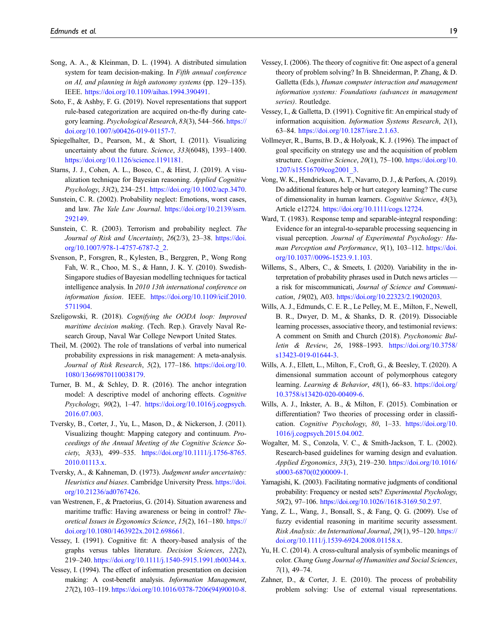- <span id="page-18-6"></span>Song, A. A., & Kleinman, D. L. (1994). A distributed simulation system for team decision-making. In Fifth annual conference on AI, and planning in high autonomy systems (pp. 129–135). IEEE. <https://doi.org/10.1109/aihas.1994.390491>.
- <span id="page-18-5"></span>Soto, F., & Ashby, F. G. (2019). Novel representations that support rule-based categorization are acquired on-the-fly during category learning. Psychological Research, 83(3), 544–566. [https://](https://doi.org/10.1007/s00426-019-01157-7) [doi.org/10.1007/s00426-019-01157-7.](https://doi.org/10.1007/s00426-019-01157-7)
- <span id="page-18-12"></span>Spiegelhalter, D., Pearson, M., & Short, I. (2011). Visualizing uncertainty about the future. Science, 333(6048), 1393–1400. <https://doi.org/10.1126/science.1191181>.
- <span id="page-18-13"></span>Starns, J. J., Cohen, A. L., Bosco, C., & Hirst, J. (2019). A visualization technique for Bayesian reasoning. Applied Cognitive Psychology, 33(2), 234–251. <https://doi.org/10.1002/acp.3470>.
- <span id="page-18-7"></span>Sunstein, C. R. (2002). Probability neglect: Emotions, worst cases, and law. The Yale Law Journal. [https://doi.org/10.2139/ssrn.](https://doi.org/10.2139/ssrn.292149) [292149.](https://doi.org/10.2139/ssrn.292149)
- <span id="page-18-8"></span>Sunstein, C. R. (2003). Terrorism and probability neglect. The Journal of Risk and Uncertainty, 26(2/3), 23–38. [https://doi.](https://doi.org/10.1007/978-1-4757-6787-2_2) [org/10.1007/978-1-4757-6787-2\\_2](https://doi.org/10.1007/978-1-4757-6787-2_2).
- <span id="page-18-26"></span>Svenson, P., Forsgren, R., Kylesten, B., Berggren, P., Wong Rong Fah, W. R., Choo, M. S., & Hann, J. K. Y. (2010). Swedish-Singapore studies of Bayesian modelling techniques for tactical intelligence analysis. In 2010 13th international conference on information fusion. IEEE. [https://doi.org/10.1109/icif.2010.](https://doi.org/10.1109/icif.2010.5711904) [5711904.](https://doi.org/10.1109/icif.2010.5711904)
- <span id="page-18-23"></span>Szeligowski, R. (2018). Cognifying the OODA loop: Improved maritime decision making. (Tech. Rep.). Gravely Naval Research Group, Naval War College Newport United States.
- <span id="page-18-9"></span>Theil, M. (2002). The role of translations of verbal into numerical probability expressions in risk management: A meta-analysis. Journal of Risk Research, 5(2), 177–186. [https://doi.org/10.](https://doi.org/10.1080/13669870110038179) [1080/13669870110038179.](https://doi.org/10.1080/13669870110038179)
- <span id="page-18-16"></span>Turner, B. M., & Schley, D. R. (2016). The anchor integration model: A descriptive model of anchoring effects. Cognitive Psychology, 90(2), 1–47. [https://doi.org/10.1016/j.cogpsych.](https://doi.org/10.1016/j.cogpsych.2016.07.003) [2016.07.003](https://doi.org/10.1016/j.cogpsych.2016.07.003).
- <span id="page-18-10"></span>Tversky, B., Corter, J., Yu, L., Mason, D., & Nickerson, J. (2011). Visualizing thought: Mapping category and continuum. Proceedings of the Annual Meeting of the Cognitive Science Society, 3(33), 499–535. [https://doi.org/10.1111/j.1756-8765.](https://doi.org/10.1111/j.1756-8765.2010.01113.x) [2010.01113.x](https://doi.org/10.1111/j.1756-8765.2010.01113.x).
- <span id="page-18-15"></span>Tversky, A., & Kahneman, D. (1973). Judgment under uncertainty: Heuristics and biases. Cambridge University Press. [https://doi.](https://doi.org/10.21236/ad0767426) [org/10.21236/ad0767426.](https://doi.org/10.21236/ad0767426)
- <span id="page-18-25"></span>van Westrenen, F., & Praetorius, G. (2014). Situation awareness and maritime traffic: Having awareness or being in control? Theoretical Issues in Ergonomics Science, 15(2), 161–180. [https://](https://doi.org/10.1080/1463922x.2012.698661) [doi.org/10.1080/1463922x.2012.698661](https://doi.org/10.1080/1463922x.2012.698661).
- <span id="page-18-17"></span>Vessey, I. (1991). Cognitive fit: A theory-based analysis of the graphs versus tables literature. Decision Sciences, 22(2), 219–240. <https://doi.org/10.1111/j.1540-5915.1991.tb00344.x>.
- <span id="page-18-18"></span>Vessey, I. (1994). The effect of information presentation on decision making: A cost-benefit analysis. Information Management, 27(2), 103–119. [https://doi.org/10.1016/0378-7206\(94\)90010-8](https://doi.org/10.1016/0378-7206(94)90010-8).
- <span id="page-18-19"></span>Vessey, I. (2006). The theory of cognitive fit: One aspect of a general theory of problem solving? In B. Shneiderman, P. Zhang, & D. Galletta (Eds.), Human computer interaction and management information systems: Foundations (advances in management series). Routledge.
- <span id="page-18-20"></span>Vessey, I., & Galletta, D. (1991). Cognitive fit: An empirical study of information acquisition. Information Systems Research, 2(1), 63–84. <https://doi.org/10.1287/isre.2.1.63>.
- <span id="page-18-24"></span>Vollmeyer, R., Burns, B. D., & Holyoak, K. J. (1996). The impact of goal specificity on strategy use and the acquisition of problem structure. Cognitive Science, 20(1), 75-100. [https://doi.org/10.](https://doi.org/10.1207/s15516709cog2001_3) [1207/s15516709cog2001\\_3.](https://doi.org/10.1207/s15516709cog2001_3)
- <span id="page-18-4"></span>Vong, W. K., Hendrickson, A. T., Navarro, D. J., & Perfors, A. (2019). Do additional features help or hurt category learning? The curse of dimensionality in human learners. Cognitive Science, 43(3), Article e12724. <https://doi.org/10.1111/cogs.12724>.
- <span id="page-18-1"></span>Ward, T. (1983). Response temp and separable-integral responding: Evidence for an integral-to-separable processing sequencing in visual perception. Journal of Experimental Psychology: Human Perception and Performance, 9(1), 103-112. [https://doi.](https://doi.org/10.1037//0096-1523.9.1.103) [org/10.1037//0096-1523.9.1.103](https://doi.org/10.1037//0096-1523.9.1.103).
- <span id="page-18-28"></span>Willems, S., Albers, C., & Smeets, I. (2020). Variability in the interpretation of probability phrases used in Dutch news articles a risk for miscommunicati, Journal of Science and Communication, 19(02), A03. [https://doi.org/10.22323/2.19020203.](https://doi.org/10.22323/2.19020203)
- <span id="page-18-3"></span>Wills, A. J., Edmunds, C. E. R., Le Pelley, M. E., Milton, F., Newell, B. R., Dwyer, D. M., & Shanks, D. R. (2019). Dissociable learning processes, associative theory, and testimonial reviews: A comment on Smith and Church (2018). Psychonomic Bulletin & Review, 26, 1988–1993. [https://doi.org/10.3758/](https://doi.org/10.3758/s13423-019-01644-3) [s13423-019-01644-3](https://doi.org/10.3758/s13423-019-01644-3).
- <span id="page-18-0"></span>Wills, A. J., Ellett, L., Milton, F., Croft, G., & Beesley, T. (2020). A dimensional summation account of polymorphous category learning. Learning & Behavior, 48(1), 66–83. [https://doi.org/](https://doi.org/10.3758/s13420-020-00409-6) [10.3758/s13420-020-00409-6.](https://doi.org/10.3758/s13420-020-00409-6)
- <span id="page-18-2"></span>Wills, A. J., Inkster, A. B., & Milton, F. (2015). Combination or differentiation? Two theories of processing order in classification. Cognitive Psychology, 80, 1–33. [https://doi.org/10.](https://doi.org/10.1016/j.cogpsych.2015.04.002) [1016/j.cogpsych.2015.04.002](https://doi.org/10.1016/j.cogpsych.2015.04.002).
- <span id="page-18-21"></span>Wogalter, M. S., Conzola, V. C., & Smith-Jackson, T. L. (2002). Research-based guidelines for warning design and evaluation. Applied Ergonomics, 33(3), 219–230. [https://doi.org/10.1016/](https://doi.org/10.1016/s0003-6870(02)00009-1) [s0003-6870\(02\)00009-1.](https://doi.org/10.1016/s0003-6870(02)00009-1)
- <span id="page-18-14"></span>Yamagishi, K. (2003). Facilitating normative judgments of conditional probability: Frequency or nested sets? Experimental Psychology, 50(2), 97–106. <https://doi.org/10.1026//1618-3169.50.2.97>.
- <span id="page-18-27"></span>Yang, Z. L., Wang, J., Bonsall, S., & Fang, Q. G. (2009). Use of fuzzy evidential reasoning in maritime security assessment. Risk Analysis: An International Journal, 29(1), 95–120. [https://](https://doi.org/10.1111/j.1539-6924.2008.01158.x) [doi.org/10.1111/j.1539-6924.2008.01158.x](https://doi.org/10.1111/j.1539-6924.2008.01158.x).
- <span id="page-18-22"></span>Yu, H. C. (2014). A cross-cultural analysis of symbolic meanings of color. Chang Gung Journal of Humanities and Social Sciences, 7(1), 49–74.
- <span id="page-18-11"></span>Zahner, D., & Corter, J. E. (2010). The process of probability problem solving: Use of external visual representations.